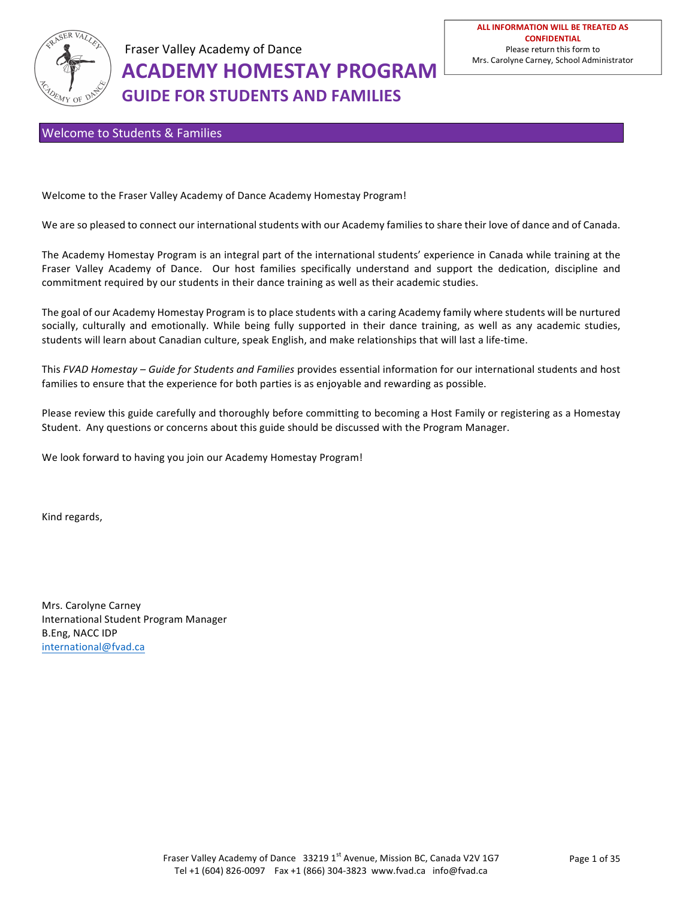

#### Welcome to Students & Families

Welcome to the Fraser Valley Academy of Dance Academy Homestay Program!

We are so pleased to connect our international students with our Academy families to share their love of dance and of Canada.

The Academy Homestay Program is an integral part of the international students' experience in Canada while training at the Fraser Valley Academy of Dance. Our host families specifically understand and support the dedication, discipline and commitment required by our students in their dance training as well as their academic studies.

The goal of our Academy Homestay Program is to place students with a caring Academy family where students will be nurtured socially, culturally and emotionally. While being fully supported in their dance training, as well as any academic studies, students will learn about Canadian culture, speak English, and make relationships that will last a life-time.

This *FVAD Homestay – Guide for Students and Families* provides essential information for our international students and host families to ensure that the experience for both parties is as enjoyable and rewarding as possible.

Please review this guide carefully and thoroughly before committing to becoming a Host Family or registering as a Homestay Student. Any questions or concerns about this guide should be discussed with the Program Manager.

We look forward to having you join our Academy Homestay Program!

Kind regards,

Mrs. Carolyne Carney International Student Program Manager B.Eng, NACC IDP international@fvad.ca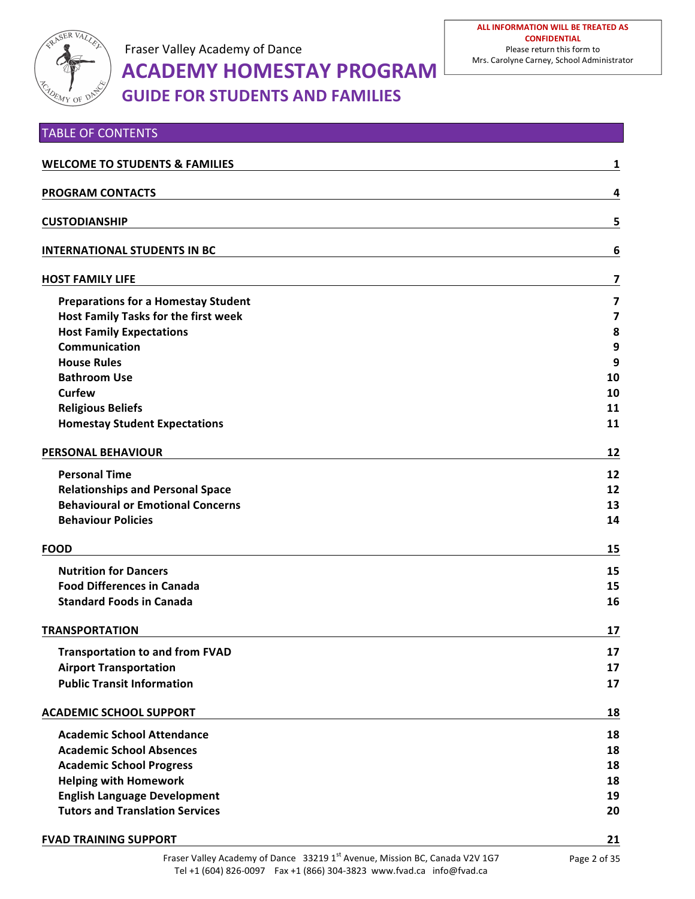

| <b>TABLE OF CONTENTS</b>                   |                         |
|--------------------------------------------|-------------------------|
| <b>WELCOME TO STUDENTS &amp; FAMILIES</b>  | 1                       |
| <b>PROGRAM CONTACTS</b>                    | 4                       |
| <b>CUSTODIANSHIP</b>                       | 5                       |
| <b>INTERNATIONAL STUDENTS IN BC</b>        | 6                       |
| <b>HOST FAMILY LIFE</b>                    | 7                       |
| <b>Preparations for a Homestay Student</b> | $\overline{\mathbf{z}}$ |
| Host Family Tasks for the first week       | $\overline{\mathbf{z}}$ |
| <b>Host Family Expectations</b>            | 8                       |
| Communication                              | 9                       |
| <b>House Rules</b>                         | 9                       |
| <b>Bathroom Use</b>                        | 10                      |
| <b>Curfew</b>                              | 10                      |
| <b>Religious Beliefs</b>                   | 11                      |
| <b>Homestay Student Expectations</b>       | 11                      |
| PERSONAL BEHAVIOUR                         | 12                      |
| <b>Personal Time</b>                       | 12                      |
| <b>Relationships and Personal Space</b>    | 12                      |
| <b>Behavioural or Emotional Concerns</b>   | 13                      |
| <b>Behaviour Policies</b>                  | 14                      |
| <b>FOOD</b>                                | 15                      |
| <b>Nutrition for Dancers</b>               | 15                      |
| <b>Food Differences in Canada</b>          | 15                      |
| <b>Standard Foods in Canada</b>            | 16                      |
| <b>TRANSPORTATION</b>                      | 17                      |
| <b>Transportation to and from FVAD</b>     | 17                      |
| <b>Airport Transportation</b>              | 17                      |
| <b>Public Transit Information</b>          | 17                      |
| <b>ACADEMIC SCHOOL SUPPORT</b>             | 18                      |
| <b>Academic School Attendance</b>          | 18                      |
| <b>Academic School Absences</b>            | 18                      |
| <b>Academic School Progress</b>            | 18                      |
| <b>Helping with Homework</b>               | 18                      |
| <b>English Language Development</b>        | 19                      |
| <b>Tutors and Translation Services</b>     | 20                      |
|                                            |                         |

**FVAD TRAINING SUPPORT** 21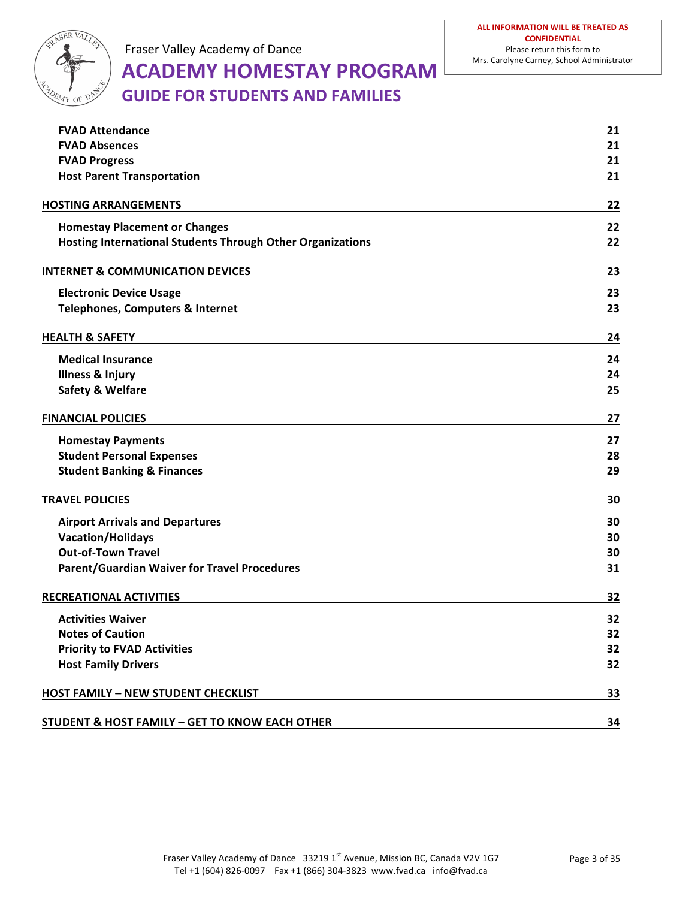

Fraser Valley Academy of Dance

# **ACADEMY HOMESTAY PROGRAM**

**GUIDE FOR STUDENTS AND FAMILIES** 

| <b>FVAD Absences</b><br>21<br>21<br><b>FVAD Progress</b><br><b>Host Parent Transportation</b><br>21<br><b>HOSTING ARRANGEMENTS</b><br>22<br><b>Homestay Placement or Changes</b><br>22<br><b>Hosting International Students Through Other Organizations</b><br>22<br><b>INTERNET &amp; COMMUNICATION DEVICES</b><br>23<br><b>Electronic Device Usage</b><br>23<br><b>Telephones, Computers &amp; Internet</b><br>23<br><b>HEALTH &amp; SAFETY</b><br>24<br><b>Medical Insurance</b><br>24<br><b>Illness &amp; Injury</b><br>24<br><b>Safety &amp; Welfare</b><br>25<br><b>FINANCIAL POLICIES</b><br>27<br><b>Homestay Payments</b><br>27<br><b>Student Personal Expenses</b><br>28<br><b>Student Banking &amp; Finances</b><br>29<br><b>TRAVEL POLICIES</b><br>30<br><b>Airport Arrivals and Departures</b><br>30<br><b>Vacation/Holidays</b><br>30<br><b>Out-of-Town Travel</b><br>30<br><b>Parent/Guardian Waiver for Travel Procedures</b><br>31<br><b>RECREATIONAL ACTIVITIES</b><br>32<br><b>Activities Waiver</b><br>32<br><b>Notes of Caution</b><br><b>Priority to FVAD Activities</b><br>32<br><b>Host Family Drivers</b><br>32<br><b>HOST FAMILY - NEW STUDENT CHECKLIST</b><br>33<br><b>STUDENT &amp; HOST FAMILY - GET TO KNOW EACH OTHER</b><br>34 | <b>FVAD Attendance</b> | 21 |
|-----------------------------------------------------------------------------------------------------------------------------------------------------------------------------------------------------------------------------------------------------------------------------------------------------------------------------------------------------------------------------------------------------------------------------------------------------------------------------------------------------------------------------------------------------------------------------------------------------------------------------------------------------------------------------------------------------------------------------------------------------------------------------------------------------------------------------------------------------------------------------------------------------------------------------------------------------------------------------------------------------------------------------------------------------------------------------------------------------------------------------------------------------------------------------------------------------------------------------------------------------------------|------------------------|----|
|                                                                                                                                                                                                                                                                                                                                                                                                                                                                                                                                                                                                                                                                                                                                                                                                                                                                                                                                                                                                                                                                                                                                                                                                                                                                 |                        |    |
|                                                                                                                                                                                                                                                                                                                                                                                                                                                                                                                                                                                                                                                                                                                                                                                                                                                                                                                                                                                                                                                                                                                                                                                                                                                                 |                        |    |
|                                                                                                                                                                                                                                                                                                                                                                                                                                                                                                                                                                                                                                                                                                                                                                                                                                                                                                                                                                                                                                                                                                                                                                                                                                                                 |                        |    |
|                                                                                                                                                                                                                                                                                                                                                                                                                                                                                                                                                                                                                                                                                                                                                                                                                                                                                                                                                                                                                                                                                                                                                                                                                                                                 |                        |    |
|                                                                                                                                                                                                                                                                                                                                                                                                                                                                                                                                                                                                                                                                                                                                                                                                                                                                                                                                                                                                                                                                                                                                                                                                                                                                 |                        |    |
|                                                                                                                                                                                                                                                                                                                                                                                                                                                                                                                                                                                                                                                                                                                                                                                                                                                                                                                                                                                                                                                                                                                                                                                                                                                                 |                        |    |
|                                                                                                                                                                                                                                                                                                                                                                                                                                                                                                                                                                                                                                                                                                                                                                                                                                                                                                                                                                                                                                                                                                                                                                                                                                                                 |                        |    |
|                                                                                                                                                                                                                                                                                                                                                                                                                                                                                                                                                                                                                                                                                                                                                                                                                                                                                                                                                                                                                                                                                                                                                                                                                                                                 |                        |    |
|                                                                                                                                                                                                                                                                                                                                                                                                                                                                                                                                                                                                                                                                                                                                                                                                                                                                                                                                                                                                                                                                                                                                                                                                                                                                 |                        |    |
|                                                                                                                                                                                                                                                                                                                                                                                                                                                                                                                                                                                                                                                                                                                                                                                                                                                                                                                                                                                                                                                                                                                                                                                                                                                                 |                        |    |
|                                                                                                                                                                                                                                                                                                                                                                                                                                                                                                                                                                                                                                                                                                                                                                                                                                                                                                                                                                                                                                                                                                                                                                                                                                                                 |                        |    |
|                                                                                                                                                                                                                                                                                                                                                                                                                                                                                                                                                                                                                                                                                                                                                                                                                                                                                                                                                                                                                                                                                                                                                                                                                                                                 |                        |    |
|                                                                                                                                                                                                                                                                                                                                                                                                                                                                                                                                                                                                                                                                                                                                                                                                                                                                                                                                                                                                                                                                                                                                                                                                                                                                 |                        |    |
|                                                                                                                                                                                                                                                                                                                                                                                                                                                                                                                                                                                                                                                                                                                                                                                                                                                                                                                                                                                                                                                                                                                                                                                                                                                                 |                        |    |
|                                                                                                                                                                                                                                                                                                                                                                                                                                                                                                                                                                                                                                                                                                                                                                                                                                                                                                                                                                                                                                                                                                                                                                                                                                                                 |                        |    |
|                                                                                                                                                                                                                                                                                                                                                                                                                                                                                                                                                                                                                                                                                                                                                                                                                                                                                                                                                                                                                                                                                                                                                                                                                                                                 |                        |    |
|                                                                                                                                                                                                                                                                                                                                                                                                                                                                                                                                                                                                                                                                                                                                                                                                                                                                                                                                                                                                                                                                                                                                                                                                                                                                 |                        |    |
|                                                                                                                                                                                                                                                                                                                                                                                                                                                                                                                                                                                                                                                                                                                                                                                                                                                                                                                                                                                                                                                                                                                                                                                                                                                                 |                        |    |
|                                                                                                                                                                                                                                                                                                                                                                                                                                                                                                                                                                                                                                                                                                                                                                                                                                                                                                                                                                                                                                                                                                                                                                                                                                                                 |                        |    |
|                                                                                                                                                                                                                                                                                                                                                                                                                                                                                                                                                                                                                                                                                                                                                                                                                                                                                                                                                                                                                                                                                                                                                                                                                                                                 |                        |    |
|                                                                                                                                                                                                                                                                                                                                                                                                                                                                                                                                                                                                                                                                                                                                                                                                                                                                                                                                                                                                                                                                                                                                                                                                                                                                 |                        |    |
|                                                                                                                                                                                                                                                                                                                                                                                                                                                                                                                                                                                                                                                                                                                                                                                                                                                                                                                                                                                                                                                                                                                                                                                                                                                                 |                        |    |
|                                                                                                                                                                                                                                                                                                                                                                                                                                                                                                                                                                                                                                                                                                                                                                                                                                                                                                                                                                                                                                                                                                                                                                                                                                                                 |                        |    |
|                                                                                                                                                                                                                                                                                                                                                                                                                                                                                                                                                                                                                                                                                                                                                                                                                                                                                                                                                                                                                                                                                                                                                                                                                                                                 |                        |    |
|                                                                                                                                                                                                                                                                                                                                                                                                                                                                                                                                                                                                                                                                                                                                                                                                                                                                                                                                                                                                                                                                                                                                                                                                                                                                 |                        | 32 |
|                                                                                                                                                                                                                                                                                                                                                                                                                                                                                                                                                                                                                                                                                                                                                                                                                                                                                                                                                                                                                                                                                                                                                                                                                                                                 |                        |    |
|                                                                                                                                                                                                                                                                                                                                                                                                                                                                                                                                                                                                                                                                                                                                                                                                                                                                                                                                                                                                                                                                                                                                                                                                                                                                 |                        |    |
|                                                                                                                                                                                                                                                                                                                                                                                                                                                                                                                                                                                                                                                                                                                                                                                                                                                                                                                                                                                                                                                                                                                                                                                                                                                                 |                        |    |
|                                                                                                                                                                                                                                                                                                                                                                                                                                                                                                                                                                                                                                                                                                                                                                                                                                                                                                                                                                                                                                                                                                                                                                                                                                                                 |                        |    |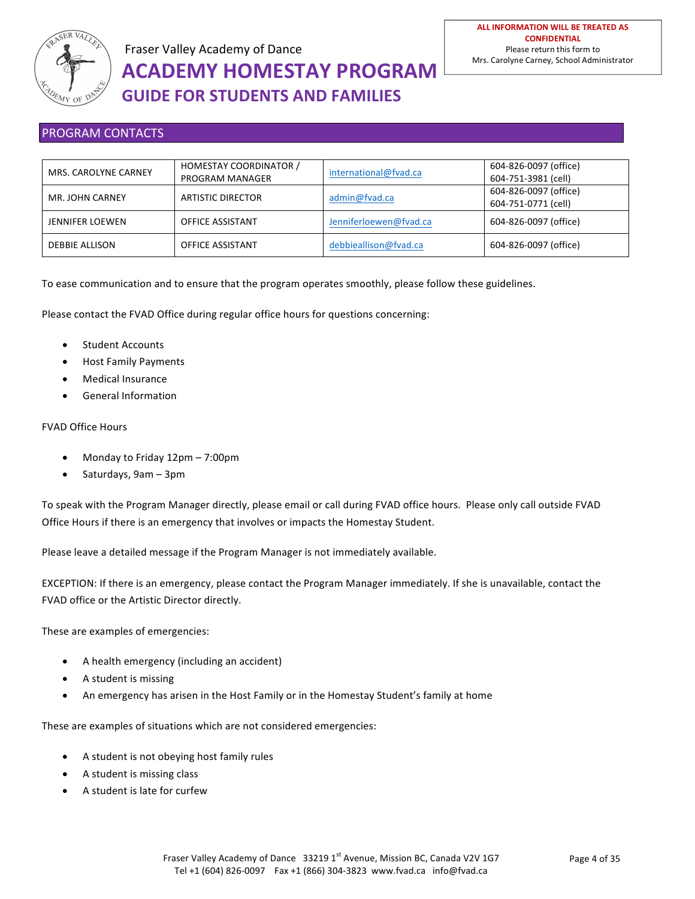

### PROGRAM CONTACTS

| MRS. CAROLYNE CARNEY   | HOMESTAY COORDINATOR /   | international@fvad.ca  | 604-826-0097 (office) |
|------------------------|--------------------------|------------------------|-----------------------|
|                        | PROGRAM MANAGER          |                        | 604-751-3981 (cell)   |
| MR. JOHN CARNEY        | <b>ARTISTIC DIRECTOR</b> | admin@fvad.ca          | 604-826-0097 (office) |
|                        |                          |                        | 604-751-0771 (cell)   |
| <b>JENNIFER LOEWEN</b> | <b>OFFICE ASSISTANT</b>  | Jenniferloewen@fvad.ca | 604-826-0097 (office) |
| DEBBIE ALLISON         | <b>OFFICE ASSISTANT</b>  | debbieallison@fvad.ca  | 604-826-0097 (office) |

To ease communication and to ensure that the program operates smoothly, please follow these guidelines.

Please contact the FVAD Office during regular office hours for questions concerning:

- Student Accounts
- Host Family Payments
- Medical Insurance
- General Information

#### **FVAD Office Hours**

- Monday to Friday  $12pm 7:00pm$
- Saturdays, 9am 3pm

To speak with the Program Manager directly, please email or call during FVAD office hours. Please only call outside FVAD Office Hours if there is an emergency that involves or impacts the Homestay Student.

Please leave a detailed message if the Program Manager is not immediately available.

EXCEPTION: If there is an emergency, please contact the Program Manager immediately. If she is unavailable, contact the FVAD office or the Artistic Director directly.

These are examples of emergencies:

- A health emergency (including an accident)
- A student is missing
- An emergency has arisen in the Host Family or in the Homestay Student's family at home

These are examples of situations which are not considered emergencies:

- A student is not obeying host family rules
- A student is missing class
- A student is late for curfew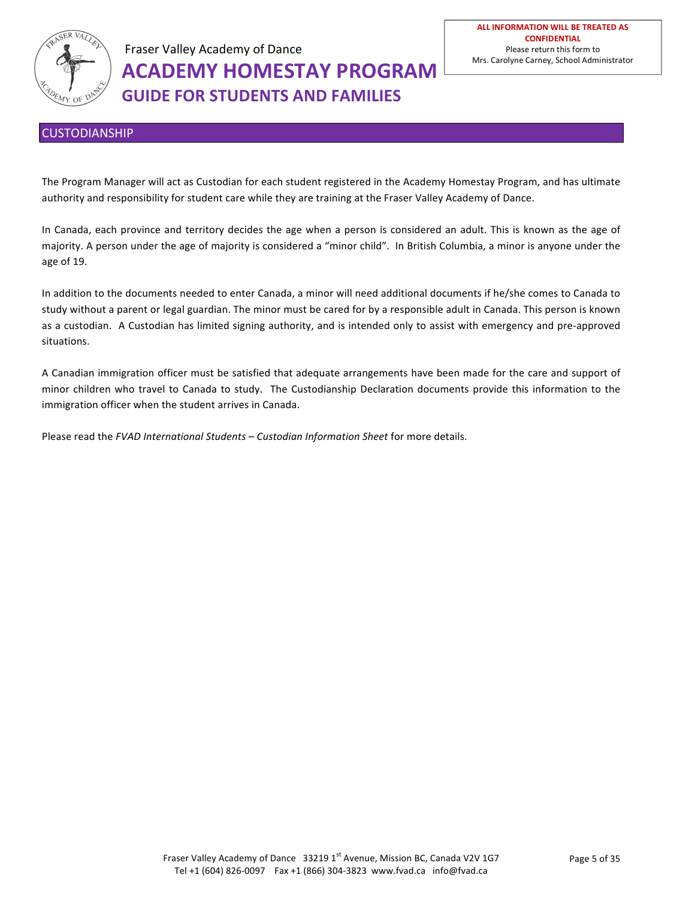

### **CUSTODIANSHIP**

The Program Manager will act as Custodian for each student registered in the Academy Homestay Program, and has ultimate authority and responsibility for student care while they are training at the Fraser Valley Academy of Dance.

In Canada, each province and territory decides the age when a person is considered an adult. This is known as the age of majority. A person under the age of majority is considered a "minor child". In British Columbia, a minor is anyone under the age of 19.

In addition to the documents needed to enter Canada, a minor will need additional documents if he/she comes to Canada to study without a parent or legal guardian. The minor must be cared for by a responsible adult in Canada. This person is known as a custodian. A Custodian has limited signing authority, and is intended only to assist with emergency and pre-approved situations.

A Canadian immigration officer must be satisfied that adequate arrangements have been made for the care and support of minor children who travel to Canada to study. The Custodianship Declaration documents provide this information to the immigration officer when the student arrives in Canada.

Please read the *FVAD International Students* – *Custodian Information Sheet* for more details.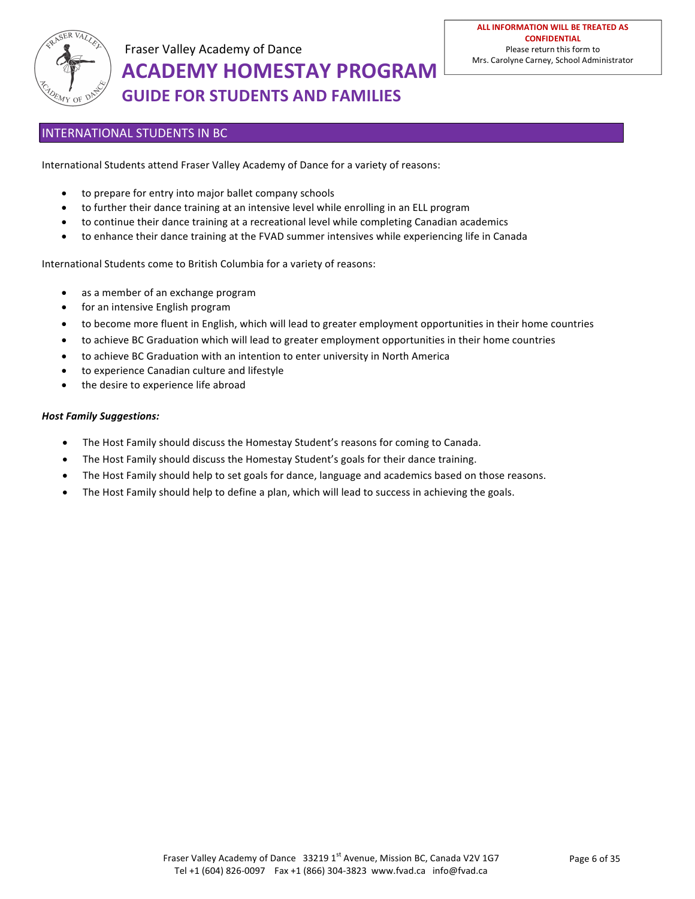

### **INTERNATIONAL STUDENTS IN BC**

International Students attend Fraser Valley Academy of Dance for a variety of reasons:

- to prepare for entry into major ballet company schools
- to further their dance training at an intensive level while enrolling in an ELL program
- to continue their dance training at a recreational level while completing Canadian academics
- to enhance their dance training at the FVAD summer intensives while experiencing life in Canada

International Students come to British Columbia for a variety of reasons:

- as a member of an exchange program
- for an intensive English program
- to become more fluent in English, which will lead to greater employment opportunities in their home countries
- to achieve BC Graduation which will lead to greater employment opportunities in their home countries
- to achieve BC Graduation with an intention to enter university in North America
- to experience Canadian culture and lifestyle
- the desire to experience life abroad

#### **Host Family Suggestions:**

- The Host Family should discuss the Homestay Student's reasons for coming to Canada.
- The Host Family should discuss the Homestay Student's goals for their dance training.
- The Host Family should help to set goals for dance, language and academics based on those reasons.
- The Host Family should help to define a plan, which will lead to success in achieving the goals.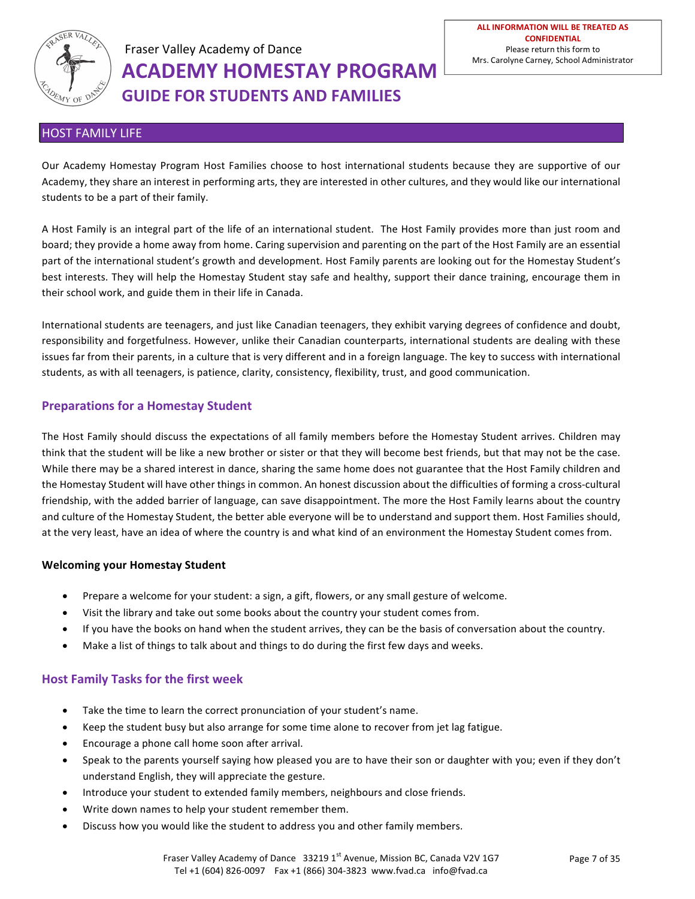

### **HOST FAMILY LIFE**

Our Academy Homestay Program Host Families choose to host international students because they are supportive of our Academy, they share an interest in performing arts, they are interested in other cultures, and they would like our international students to be a part of their family.

A Host Family is an integral part of the life of an international student. The Host Family provides more than just room and board; they provide a home away from home. Caring supervision and parenting on the part of the Host Family are an essential part of the international student's growth and development. Host Family parents are looking out for the Homestay Student's best interests. They will help the Homestay Student stay safe and healthy, support their dance training, encourage them in their school work, and guide them in their life in Canada.

International students are teenagers, and just like Canadian teenagers, they exhibit varying degrees of confidence and doubt, responsibility and forgetfulness. However, unlike their Canadian counterparts, international students are dealing with these issues far from their parents, in a culture that is very different and in a foreign language. The key to success with international students, as with all teenagers, is patience, clarity, consistency, flexibility, trust, and good communication.

### **Preparations for a Homestay Student**

The Host Family should discuss the expectations of all family members before the Homestay Student arrives. Children may think that the student will be like a new brother or sister or that they will become best friends, but that may not be the case. While there may be a shared interest in dance, sharing the same home does not guarantee that the Host Family children and the Homestay Student will have other things in common. An honest discussion about the difficulties of forming a cross-cultural friendship, with the added barrier of language, can save disappointment. The more the Host Family learns about the country and culture of the Homestay Student, the better able everyone will be to understand and support them. Host Families should, at the very least, have an idea of where the country is and what kind of an environment the Homestay Student comes from.

#### **Welcoming your Homestay Student**

- Prepare a welcome for your student: a sign, a gift, flowers, or any small gesture of welcome.
- Visit the library and take out some books about the country your student comes from.
- If you have the books on hand when the student arrives, they can be the basis of conversation about the country.
- Make a list of things to talk about and things to do during the first few days and weeks.

#### **Host Family Tasks for the first week**

- Take the time to learn the correct pronunciation of your student's name.
- Keep the student busy but also arrange for some time alone to recover from jet lag fatigue.
- Encourage a phone call home soon after arrival.
- Speak to the parents yourself saying how pleased you are to have their son or daughter with you; even if they don't understand English, they will appreciate the gesture.
- Introduce your student to extended family members, neighbours and close friends.
- Write down names to help your student remember them.
- Discuss how you would like the student to address you and other family members.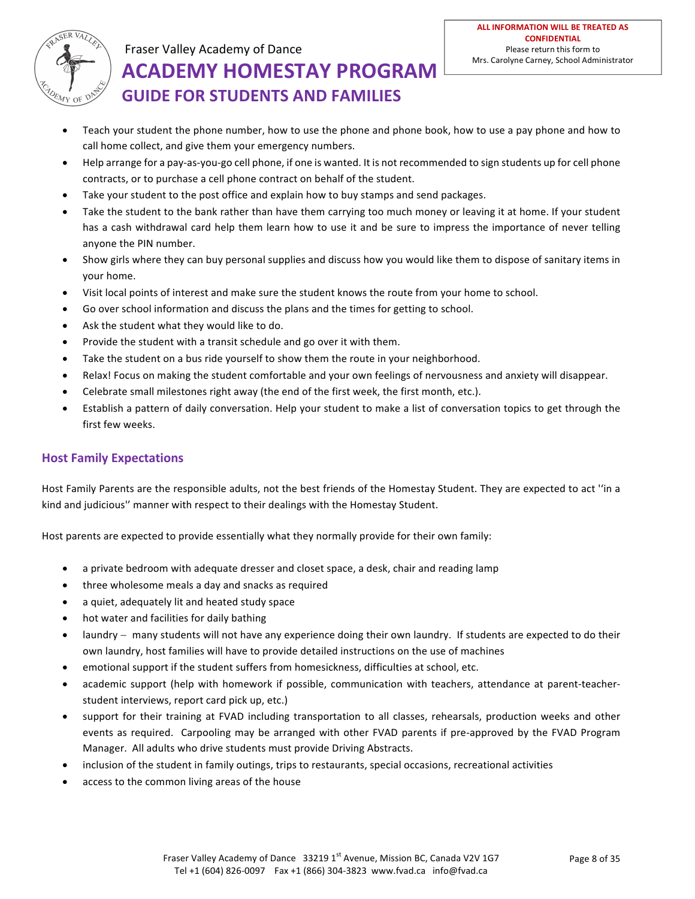

- Teach your student the phone number, how to use the phone and phone book, how to use a pay phone and how to call home collect, and give them your emergency numbers.
- Help arrange for a pay-as-you-go cell phone, if one is wanted. It is not recommended to sign students up for cell phone contracts, or to purchase a cell phone contract on behalf of the student.
- Take your student to the post office and explain how to buy stamps and send packages.
- Take the student to the bank rather than have them carrying too much money or leaving it at home. If your student has a cash withdrawal card help them learn how to use it and be sure to impress the importance of never telling anyone the PIN number.
- Show girls where they can buy personal supplies and discuss how you would like them to dispose of sanitary items in your home.
- Visit local points of interest and make sure the student knows the route from your home to school.
- Go over school information and discuss the plans and the times for getting to school.
- Ask the student what they would like to do.
- Provide the student with a transit schedule and go over it with them.
- Take the student on a bus ride yourself to show them the route in your neighborhood.
- Relax! Focus on making the student comfortable and your own feelings of nervousness and anxiety will disappear.
- Celebrate small milestones right away (the end of the first week, the first month, etc.).
- Establish a pattern of daily conversation. Help your student to make a list of conversation topics to get through the first few weeks.

### **Host Family Expectations**

Host Family Parents are the responsible adults, not the best friends of the Homestay Student. They are expected to act "in a kind and judicious" manner with respect to their dealings with the Homestay Student.

Host parents are expected to provide essentially what they normally provide for their own family:

- a private bedroom with adequate dresser and closet space, a desk, chair and reading lamp
- three wholesome meals a day and snacks as required
- a quiet, adequately lit and heated study space
- hot water and facilities for daily bathing
- laundry many students will not have any experience doing their own laundry. If students are expected to do their own laundry, host families will have to provide detailed instructions on the use of machines
- emotional support if the student suffers from homesickness, difficulties at school, etc.
- academic support (help with homework if possible, communication with teachers, attendance at parent-teacherstudent interviews, report card pick up, etc.)
- support for their training at FVAD including transportation to all classes, rehearsals, production weeks and other events as required. Carpooling may be arranged with other FVAD parents if pre-approved by the FVAD Program Manager. All adults who drive students must provide Driving Abstracts.
- inclusion of the student in family outings, trips to restaurants, special occasions, recreational activities
- access to the common living areas of the house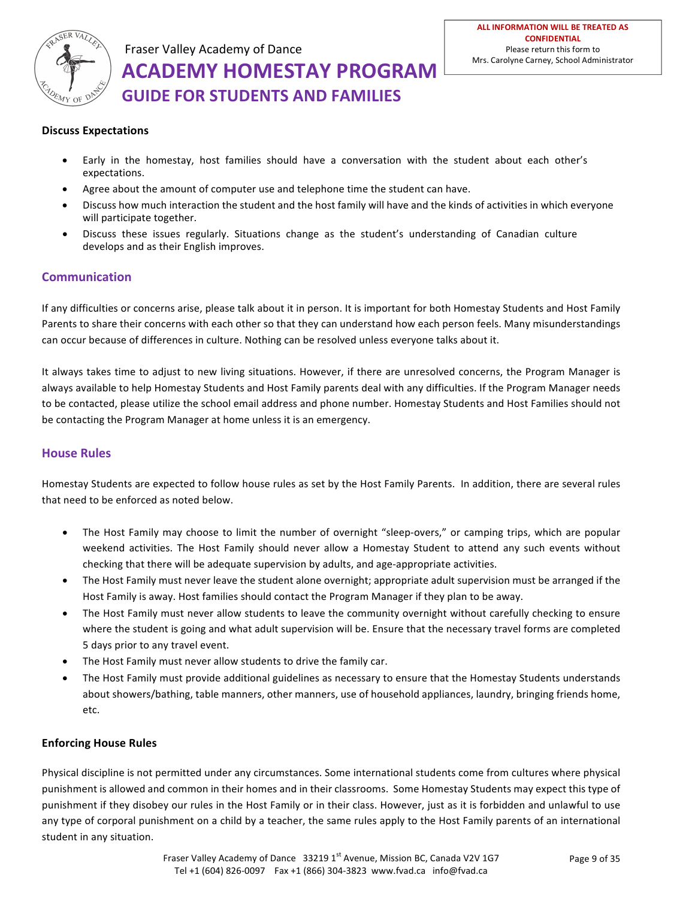

#### **Discuss Expectations**

- Early in the homestay, host families should have a conversation with the student about each other's expectations.
- Agree about the amount of computer use and telephone time the student can have.
- Discuss how much interaction the student and the host family will have and the kinds of activities in which everyone will participate together.
- Discuss these issues regularly. Situations change as the student's understanding of Canadian culture develops and as their English improves.

#### **Communication**

If any difficulties or concerns arise, please talk about it in person. It is important for both Homestay Students and Host Family Parents to share their concerns with each other so that they can understand how each person feels. Many misunderstandings can occur because of differences in culture. Nothing can be resolved unless everyone talks about it.

It always takes time to adjust to new living situations. However, if there are unresolved concerns, the Program Manager is always available to help Homestay Students and Host Family parents deal with any difficulties. If the Program Manager needs to be contacted, please utilize the school email address and phone number. Homestay Students and Host Families should not be contacting the Program Manager at home unless it is an emergency.

#### **House Rules**

Homestay Students are expected to follow house rules as set by the Host Family Parents. In addition, there are several rules that need to be enforced as noted below.

- The Host Family may choose to limit the number of overnight "sleep-overs," or camping trips, which are popular weekend activities. The Host Family should never allow a Homestay Student to attend any such events without checking that there will be adequate supervision by adults, and age-appropriate activities.
- The Host Family must never leave the student alone overnight; appropriate adult supervision must be arranged if the Host Family is away. Host families should contact the Program Manager if they plan to be away.
- The Host Family must never allow students to leave the community overnight without carefully checking to ensure where the student is going and what adult supervision will be. Ensure that the necessary travel forms are completed 5 days prior to any travel event.
- The Host Family must never allow students to drive the family car.
- The Host Family must provide additional guidelines as necessary to ensure that the Homestay Students understands about showers/bathing, table manners, other manners, use of household appliances, laundry, bringing friends home, etc.

#### **Enforcing House Rules**

Physical discipline is not permitted under any circumstances. Some international students come from cultures where physical punishment is allowed and common in their homes and in their classrooms. Some Homestay Students may expect this type of punishment if they disobey our rules in the Host Family or in their class. However, just as it is forbidden and unlawful to use any type of corporal punishment on a child by a teacher, the same rules apply to the Host Family parents of an international student in any situation.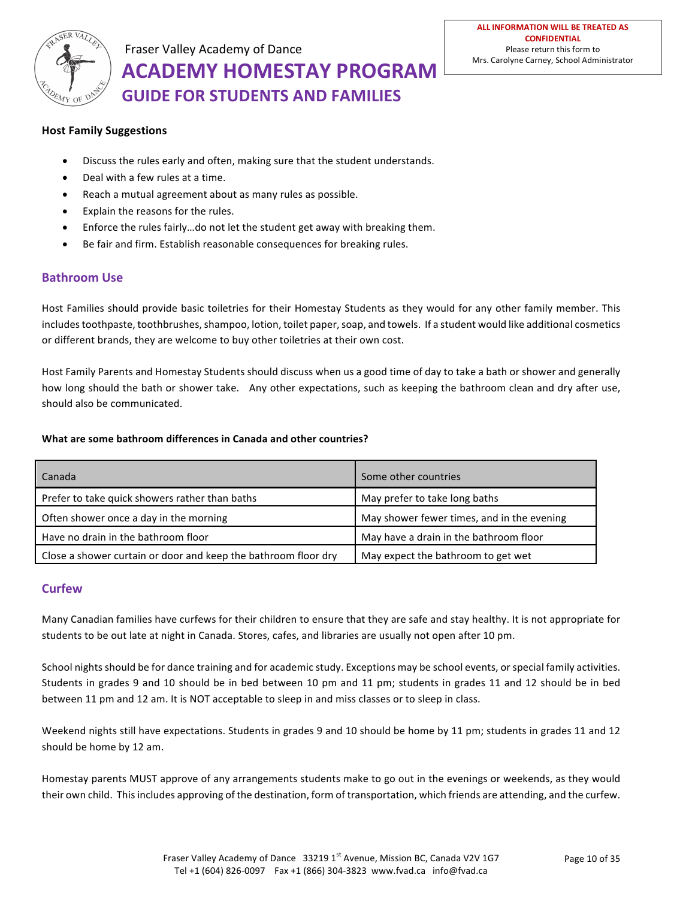

### **Host Family Suggestions**

- Discuss the rules early and often, making sure that the student understands.
- Deal with a few rules at a time.
- Reach a mutual agreement about as many rules as possible.
- Explain the reasons for the rules.
- Enforce the rules fairly...do not let the student get away with breaking them.
- Be fair and firm. Establish reasonable consequences for breaking rules.

#### **Bathroom Use**

Host Families should provide basic toiletries for their Homestay Students as they would for any other family member. This includes toothpaste, toothbrushes, shampoo, lotion, toilet paper, soap, and towels. If a student would like additional cosmetics or different brands, they are welcome to buy other toiletries at their own cost.

Host Family Parents and Homestay Students should discuss when us a good time of day to take a bath or shower and generally how long should the bath or shower take. Any other expectations, such as keeping the bathroom clean and dry after use, should also be communicated.

#### **What are some bathroom differences in Canada and other countries?**

| Canada                                                         | Some other countries                       |
|----------------------------------------------------------------|--------------------------------------------|
| Prefer to take quick showers rather than baths                 | May prefer to take long baths              |
| Often shower once a day in the morning                         | May shower fewer times, and in the evening |
| Have no drain in the bathroom floor                            | May have a drain in the bathroom floor     |
| Close a shower curtain or door and keep the bathroom floor dry | May expect the bathroom to get wet         |

#### **Curfew**

Many Canadian families have curfews for their children to ensure that they are safe and stay healthy. It is not appropriate for students to be out late at night in Canada. Stores, cafes, and libraries are usually not open after 10 pm.

School nights should be for dance training and for academic study. Exceptions may be school events, or special family activities. Students in grades 9 and 10 should be in bed between 10 pm and 11 pm; students in grades 11 and 12 should be in bed between 11 pm and 12 am. It is NOT acceptable to sleep in and miss classes or to sleep in class.

Weekend nights still have expectations. Students in grades 9 and 10 should be home by 11 pm; students in grades 11 and 12 should be home by 12 am.

Homestay parents MUST approve of any arrangements students make to go out in the evenings or weekends, as they would their own child. This includes approving of the destination, form of transportation, which friends are attending, and the curfew.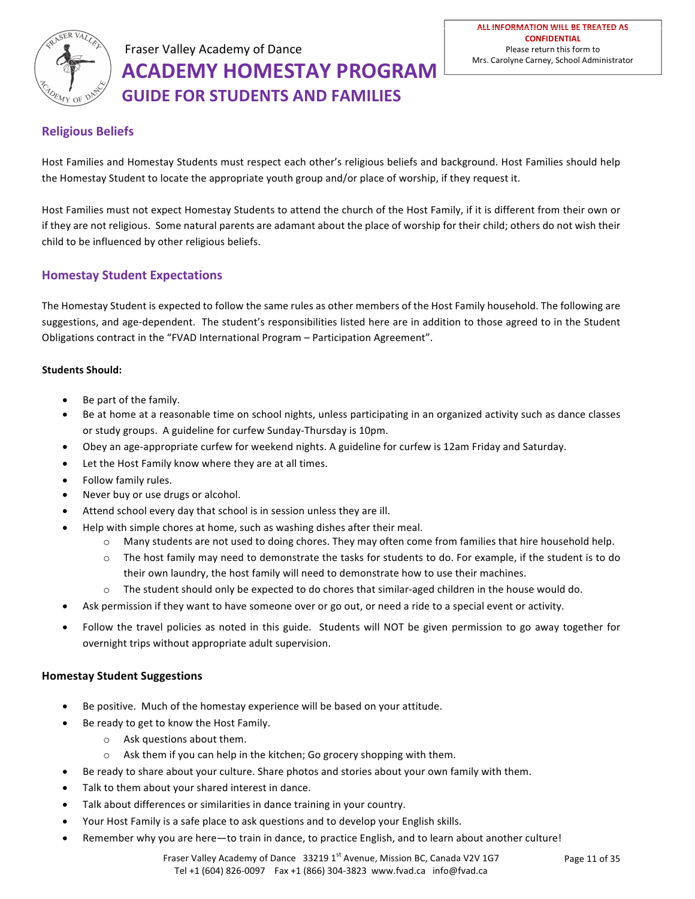

# **Religious Beliefs**

Host Families and Homestay Students must respect each other's religious beliefs and background. Host Families should help the Homestay Student to locate the appropriate youth group and/or place of worship, if they request it.

Host Families must not expect Homestay Students to attend the church of the Host Family, if it is different from their own or if they are not religious. Some natural parents are adamant about the place of worship for their child; others do not wish their child to be influenced by other religious beliefs.

# **Homestay Student Expectations**

The Homestay Student is expected to follow the same rules as other members of the Host Family household. The following are suggestions, and age-dependent. The student's responsibilities listed here are in addition to those agreed to in the Student Obligations contract in the "FVAD International Program - Participation Agreement".

#### **Students Should:**

- Be part of the family.
- Be at home at a reasonable time on school nights, unless participating in an organized activity such as dance classes or study groups. A guideline for curfew Sunday-Thursday is 10pm.
- Obey an age-appropriate curfew for weekend nights. A guideline for curfew is 12am Friday and Saturday.
- Let the Host Family know where they are at all times.
- Follow family rules.
- Never buy or use drugs or alcohol.
- Attend school every day that school is in session unless they are ill.
- Help with simple chores at home, such as washing dishes after their meal.
	- $\circ$  Many students are not used to doing chores. They may often come from families that hire household help.
	- $\circ$  The host family may need to demonstrate the tasks for students to do. For example, if the student is to do their own laundry, the host family will need to demonstrate how to use their machines.
	- $\circ$  The student should only be expected to do chores that similar-aged children in the house would do.
- Ask permission if they want to have someone over or go out, or need a ride to a special event or activity.
- Follow the travel policies as noted in this guide. Students will NOT be given permission to go away together for overnight trips without appropriate adult supervision.

#### **Homestay Student Suggestions**

- Be positive. Much of the homestay experience will be based on your attitude.
- Be ready to get to know the Host Family.
	- $\circ$  Ask questions about them.
	- $\circ$  Ask them if you can help in the kitchen; Go grocery shopping with them.
- Be ready to share about your culture. Share photos and stories about your own family with them.
- Talk to them about your shared interest in dance.
- Talk about differences or similarities in dance training in your country.
- Your Host Family is a safe place to ask questions and to develop your English skills.
- Remember why you are here—to train in dance, to practice English, and to learn about another culture!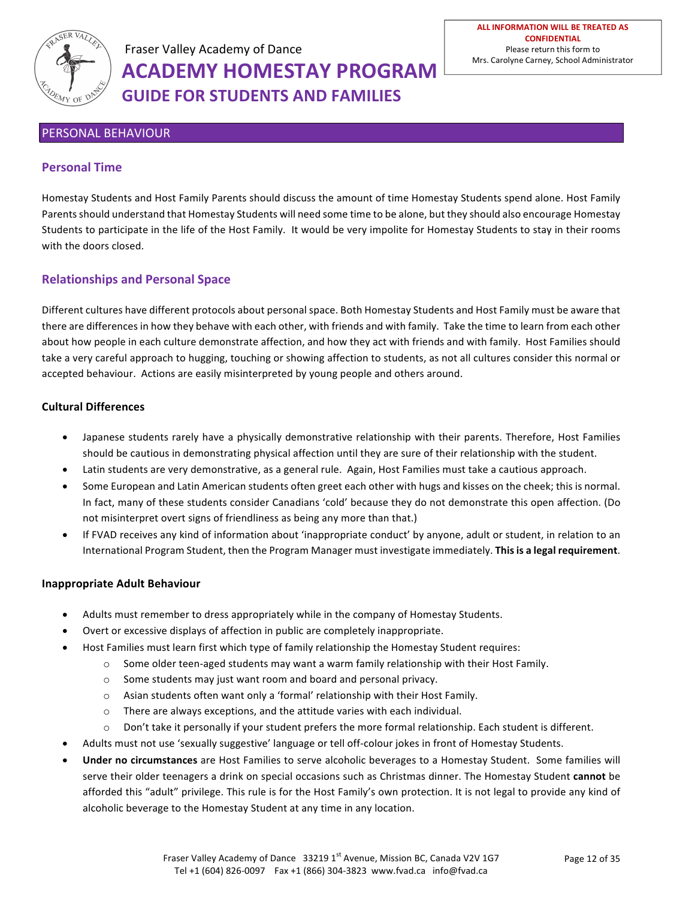

### PERSONAL BEHAVIOUR

### **Personal Time**

Homestay Students and Host Family Parents should discuss the amount of time Homestay Students spend alone. Host Family Parents should understand that Homestay Students will need some time to be alone, but they should also encourage Homestay Students to participate in the life of the Host Family. It would be very impolite for Homestay Students to stay in their rooms with the doors closed.

### **Relationships and Personal Space**

Different cultures have different protocols about personal space. Both Homestay Students and Host Family must be aware that there are differences in how they behave with each other, with friends and with family. Take the time to learn from each other about how people in each culture demonstrate affection, and how they act with friends and with family. Host Families should take a very careful approach to hugging, touching or showing affection to students, as not all cultures consider this normal or accepted behaviour. Actions are easily misinterpreted by young people and others around.

#### **Cultural Differences**

- Japanese students rarely have a physically demonstrative relationship with their parents. Therefore, Host Families should be cautious in demonstrating physical affection until they are sure of their relationship with the student.
- Latin students are very demonstrative, as a general rule. Again, Host Families must take a cautious approach.
- Some European and Latin American students often greet each other with hugs and kisses on the cheek; this is normal. In fact, many of these students consider Canadians 'cold' because they do not demonstrate this open affection. (Do not misinterpret overt signs of friendliness as being any more than that.)
- If FVAD receives any kind of information about 'inappropriate conduct' by anyone, adult or student, in relation to an International Program Student, then the Program Manager must investigate immediately. This is a legal requirement.

#### **Inappropriate Adult Behaviour**

- Adults must remember to dress appropriately while in the company of Homestay Students.
- Overt or excessive displays of affection in public are completely inappropriate.
- Host Families must learn first which type of family relationship the Homestay Student requires:
	- $\circ$  Some older teen-aged students may want a warm family relationship with their Host Family.
	- $\circ$  Some students may just want room and board and personal privacy.
	- $\circ$  Asian students often want only a 'formal' relationship with their Host Family.
	- $\circ$  There are always exceptions, and the attitude varies with each individual.
	- $\circ$  Don't take it personally if your student prefers the more formal relationship. Each student is different.
- Adults must not use 'sexually suggestive' language or tell off-colour jokes in front of Homestay Students.
- Under no circumstances are Host Families to serve alcoholic beverages to a Homestay Student. Some families will serve their older teenagers a drink on special occasions such as Christmas dinner. The Homestay Student *cannot* be afforded this "adult" privilege. This rule is for the Host Family's own protection. It is not legal to provide any kind of alcoholic beverage to the Homestay Student at any time in any location.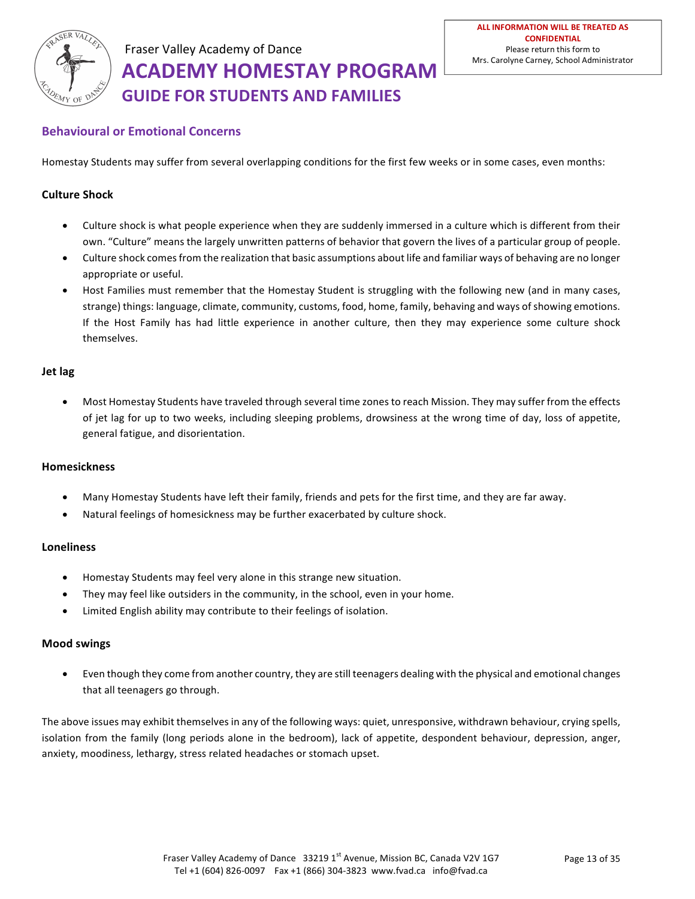

# **Behavioural or Emotional Concerns**

Homestay Students may suffer from several overlapping conditions for the first few weeks or in some cases, even months:

### **Culture Shock**

- Culture shock is what people experience when they are suddenly immersed in a culture which is different from their own. "Culture" means the largely unwritten patterns of behavior that govern the lives of a particular group of people.
- Culture shock comes from the realization that basic assumptions about life and familiar ways of behaving are no longer appropriate or useful.
- Host Families must remember that the Homestay Student is struggling with the following new (and in many cases, strange) things: language, climate, community, customs, food, home, family, behaving and ways of showing emotions. If the Host Family has had little experience in another culture, then they may experience some culture shock themselves.

#### **Jet lag**

Most Homestay Students have traveled through several time zones to reach Mission. They may suffer from the effects of jet lag for up to two weeks, including sleeping problems, drowsiness at the wrong time of day, loss of appetite, general fatigue, and disorientation.

#### **Homesickness**

- Many Homestay Students have left their family, friends and pets for the first time, and they are far away.
- Natural feelings of homesickness may be further exacerbated by culture shock.

#### **Loneliness**

- Homestay Students may feel very alone in this strange new situation.
- They may feel like outsiders in the community, in the school, even in your home.
- Limited English ability may contribute to their feelings of isolation.

#### **Mood swings**

Even though they come from another country, they are still teenagers dealing with the physical and emotional changes that all teenagers go through.

The above issues may exhibit themselves in any of the following ways: quiet, unresponsive, withdrawn behaviour, crying spells, isolation from the family (long periods alone in the bedroom), lack of appetite, despondent behaviour, depression, anger, anxiety, moodiness, lethargy, stress related headaches or stomach upset.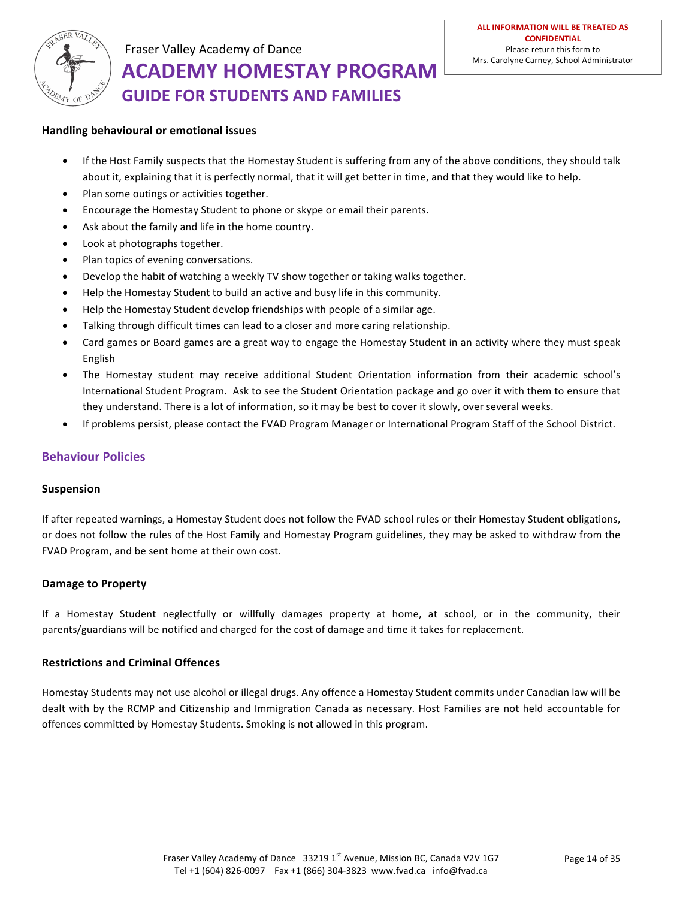

#### **Handling behavioural or emotional issues**

- If the Host Family suspects that the Homestay Student is suffering from any of the above conditions, they should talk about it, explaining that it is perfectly normal, that it will get better in time, and that they would like to help.
- Plan some outings or activities together.
- Encourage the Homestay Student to phone or skype or email their parents.
- Ask about the family and life in the home country.
- Look at photographs together.
- Plan topics of evening conversations.
- Develop the habit of watching a weekly TV show together or taking walks together.
- Help the Homestay Student to build an active and busy life in this community.
- Help the Homestay Student develop friendships with people of a similar age.
- Talking through difficult times can lead to a closer and more caring relationship.
- Card games or Board games are a great way to engage the Homestay Student in an activity where they must speak English
- The Homestay student may receive additional Student Orientation information from their academic school's International Student Program. Ask to see the Student Orientation package and go over it with them to ensure that they understand. There is a lot of information, so it may be best to cover it slowly, over several weeks.
- If problems persist, please contact the FVAD Program Manager or International Program Staff of the School District.

#### **Behaviour Policies**

#### **Suspension**

If after repeated warnings, a Homestay Student does not follow the FVAD school rules or their Homestay Student obligations, or does not follow the rules of the Host Family and Homestay Program guidelines, they may be asked to withdraw from the FVAD Program, and be sent home at their own cost.

#### **Damage to Property**

If a Homestay Student neglectfully or willfully damages property at home, at school, or in the community, their parents/guardians will be notified and charged for the cost of damage and time it takes for replacement.

#### **Restrictions and Criminal Offences**

Homestay Students may not use alcohol or illegal drugs. Any offence a Homestay Student commits under Canadian law will be dealt with by the RCMP and Citizenship and Immigration Canada as necessary. Host Families are not held accountable for offences committed by Homestay Students. Smoking is not allowed in this program.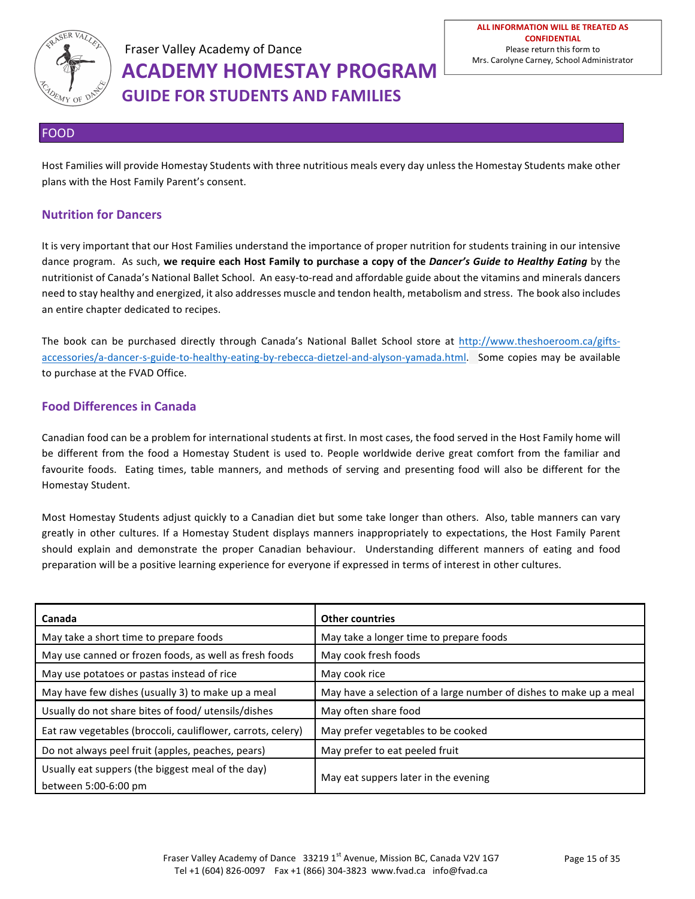

### FOOD

Host Families will provide Homestay Students with three nutritious meals every day unless the Homestay Students make other plans with the Host Family Parent's consent.

### **Nutrition for Dancers**

It is very important that our Host Families understand the importance of proper nutrition for students training in our intensive dance program. As such, we require each Host Family to purchase a copy of the Dancer's Guide to Healthy Eating by the nutritionist of Canada's National Ballet School. An easy-to-read and affordable guide about the vitamins and minerals dancers need to stay healthy and energized, it also addresses muscle and tendon health, metabolism and stress. The book also includes an entire chapter dedicated to recipes.

The book can be purchased directly through Canada's National Ballet School store at http://www.theshoeroom.ca/giftsaccessories/a-dancer-s-guide-to-healthy-eating-by-rebecca-dietzel-and-alyson-yamada.html. Some copies may be available to purchase at the FVAD Office.

### **Food Differences in Canada**

Canadian food can be a problem for international students at first. In most cases, the food served in the Host Family home will be different from the food a Homestay Student is used to. People worldwide derive great comfort from the familiar and favourite foods. Eating times, table manners, and methods of serving and presenting food will also be different for the Homestay Student.

Most Homestay Students adjust quickly to a Canadian diet but some take longer than others. Also, table manners can vary greatly in other cultures. If a Homestay Student displays manners inappropriately to expectations, the Host Family Parent should explain and demonstrate the proper Canadian behaviour. Understanding different manners of eating and food preparation will be a positive learning experience for everyone if expressed in terms of interest in other cultures.

| Canada                                                                    | <b>Other countries</b>                                             |
|---------------------------------------------------------------------------|--------------------------------------------------------------------|
| May take a short time to prepare foods                                    | May take a longer time to prepare foods                            |
| May use canned or frozen foods, as well as fresh foods                    | May cook fresh foods                                               |
| May use potatoes or pastas instead of rice                                | May cook rice                                                      |
| May have few dishes (usually 3) to make up a meal                         | May have a selection of a large number of dishes to make up a meal |
| Usually do not share bites of food/utensils/dishes                        | May often share food                                               |
| Eat raw vegetables (broccoli, cauliflower, carrots, celery)               | May prefer vegetables to be cooked                                 |
| Do not always peel fruit (apples, peaches, pears)                         | May prefer to eat peeled fruit                                     |
| Usually eat suppers (the biggest meal of the day)<br>between 5:00-6:00 pm | May eat suppers later in the evening                               |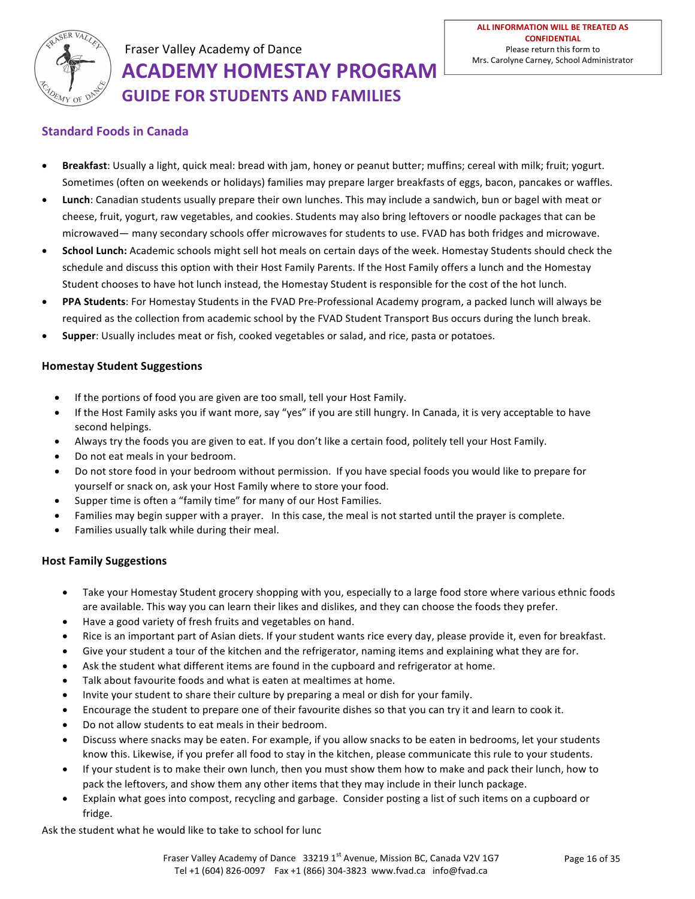

# **Standard Foods in Canada**

- Breakfast: Usually a light, quick meal: bread with jam, honey or peanut butter; muffins; cereal with milk; fruit; yogurt. Sometimes (often on weekends or holidays) families may prepare larger breakfasts of eggs, bacon, pancakes or waffles.
- Lunch: Canadian students usually prepare their own lunches. This may include a sandwich, bun or bagel with meat or cheese, fruit, yogurt, raw vegetables, and cookies. Students may also bring leftovers or noodle packages that can be microwaved— many secondary schools offer microwaves for students to use. FVAD has both fridges and microwave.
- **School Lunch:** Academic schools might sell hot meals on certain days of the week. Homestay Students should check the schedule and discuss this option with their Host Family Parents. If the Host Family offers a lunch and the Homestay Student chooses to have hot lunch instead, the Homestay Student is responsible for the cost of the hot lunch.
- PPA Students: For Homestay Students in the FVAD Pre-Professional Academy program, a packed lunch will always be required as the collection from academic school by the FVAD Student Transport Bus occurs during the lunch break.
- Supper: Usually includes meat or fish, cooked vegetables or salad, and rice, pasta or potatoes.

#### **Homestay Student Suggestions**

- If the portions of food you are given are too small, tell your Host Family.
- If the Host Family asks you if want more, say "yes" if you are still hungry. In Canada, it is very acceptable to have second helpings.
- Always try the foods you are given to eat. If you don't like a certain food, politely tell your Host Family.
- Do not eat meals in your bedroom.
- Do not store food in your bedroom without permission. If you have special foods you would like to prepare for yourself or snack on, ask your Host Family where to store your food.
- Supper time is often a "family time" for many of our Host Families.
- Families may begin supper with a prayer. In this case, the meal is not started until the prayer is complete.
- Families usually talk while during their meal.

#### **Host Family Suggestions**

- Take your Homestay Student grocery shopping with you, especially to a large food store where various ethnic foods are available. This way you can learn their likes and dislikes, and they can choose the foods they prefer.
- Have a good variety of fresh fruits and vegetables on hand.
- Rice is an important part of Asian diets. If your student wants rice every day, please provide it, even for breakfast.
- Give your student a tour of the kitchen and the refrigerator, naming items and explaining what they are for.
- Ask the student what different items are found in the cupboard and refrigerator at home.
- Talk about favourite foods and what is eaten at mealtimes at home.
- Invite your student to share their culture by preparing a meal or dish for your family.
- Encourage the student to prepare one of their favourite dishes so that you can try it and learn to cook it.
- Do not allow students to eat meals in their bedroom.
- Discuss where snacks may be eaten. For example, if you allow snacks to be eaten in bedrooms, let your students know this. Likewise, if you prefer all food to stay in the kitchen, please communicate this rule to your students.
- If your student is to make their own lunch, then you must show them how to make and pack their lunch, how to pack the leftovers, and show them any other items that they may include in their lunch package.
- Explain what goes into compost, recycling and garbage. Consider posting a list of such items on a cupboard or fridge.

Ask the student what he would like to take to school for lunc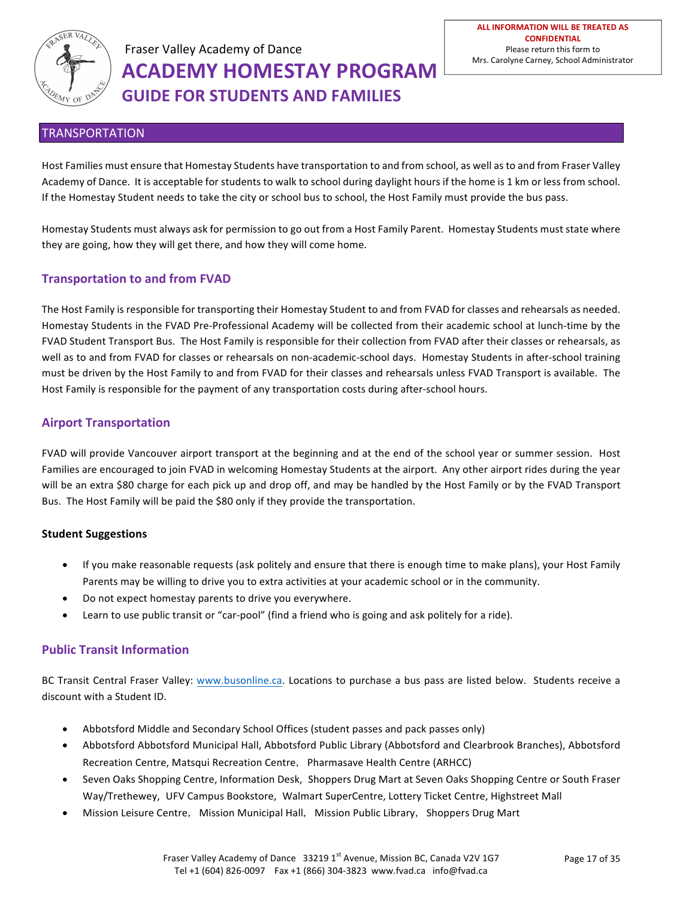

### **TRANSPORTATION**

Host Families must ensure that Homestay Students have transportation to and from school, as well as to and from Fraser Valley Academy of Dance. It is acceptable for students to walk to school during daylight hours if the home is 1 km or less from school. If the Homestay Student needs to take the city or school bus to school, the Host Family must provide the bus pass.

Homestay Students must always ask for permission to go out from a Host Family Parent. Homestay Students must state where they are going, how they will get there, and how they will come home.

# **Transportation to and from FVAD**

The Host Family is responsible for transporting their Homestay Student to and from FVAD for classes and rehearsals as needed. Homestay Students in the FVAD Pre-Professional Academy will be collected from their academic school at lunch-time by the FVAD Student Transport Bus. The Host Family is responsible for their collection from FVAD after their classes or rehearsals, as well as to and from FVAD for classes or rehearsals on non-academic-school days. Homestay Students in after-school training must be driven by the Host Family to and from FVAD for their classes and rehearsals unless FVAD Transport is available. The Host Family is responsible for the payment of any transportation costs during after-school hours.

### **Airport Transportation**

FVAD will provide Vancouver airport transport at the beginning and at the end of the school year or summer session. Host Families are encouraged to join FVAD in welcoming Homestay Students at the airport. Any other airport rides during the year will be an extra \$80 charge for each pick up and drop off, and may be handled by the Host Family or by the FVAD Transport Bus. The Host Family will be paid the \$80 only if they provide the transportation.

#### **Student Suggestions**

- If you make reasonable requests (ask politely and ensure that there is enough time to make plans), your Host Family Parents may be willing to drive you to extra activities at your academic school or in the community.
- Do not expect homestay parents to drive you everywhere.
- Learn to use public transit or "car-pool" (find a friend who is going and ask politely for a ride).

### **Public Transit Information**

BC Transit Central Fraser Valley: www.busonline.ca. Locations to purchase a bus pass are listed below. Students receive a discount with a Student ID

- Abbotsford Middle and Secondary School Offices (student passes and pack passes only)
- Abbotsford Abbotsford Municipal Hall, Abbotsford Public Library (Abbotsford and Clearbrook Branches), Abbotsford Recreation Centre, Matsqui Recreation Centre, Pharmasave Health Centre (ARHCC)
- Seven Oaks Shopping Centre, Information Desk, Shoppers Drug Mart at Seven Oaks Shopping Centre or South Fraser Way/Trethewey, UFV Campus Bookstore, Walmart SuperCentre, Lottery Ticket Centre, Highstreet Mall
- Mission Leisure Centre, Mission Municipal Hall, Mission Public Library, Shoppers Drug Mart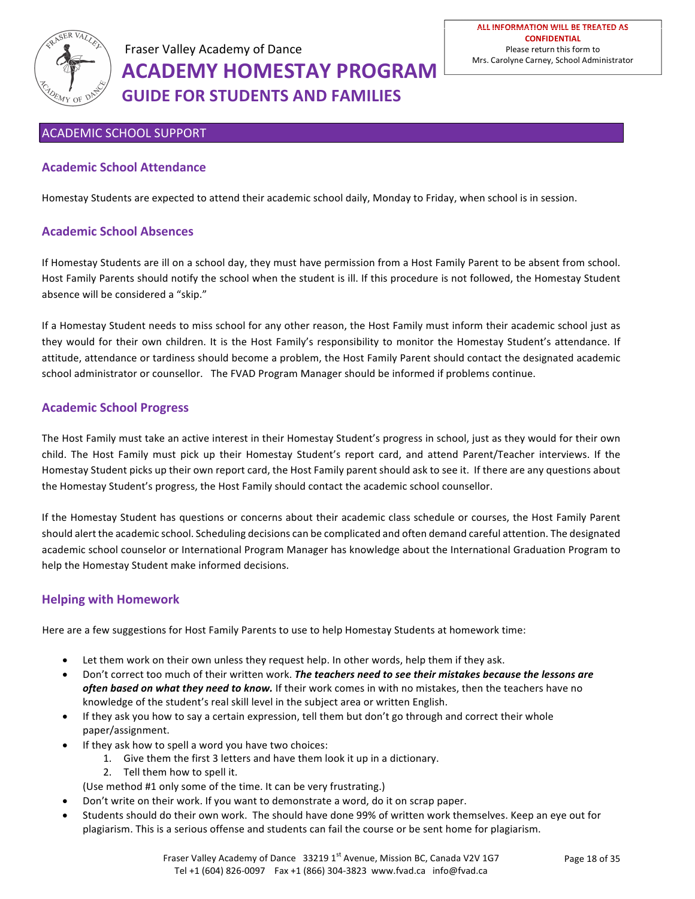

### ACADEMIC SCHOOL SUPPORT

### **Academic School Attendance**

Homestay Students are expected to attend their academic school daily, Monday to Friday, when school is in session.

#### **Academic School Absences**

If Homestay Students are ill on a school day, they must have permission from a Host Family Parent to be absent from school. Host Family Parents should notify the school when the student is ill. If this procedure is not followed, the Homestay Student absence will be considered a "skip."

If a Homestay Student needs to miss school for any other reason, the Host Family must inform their academic school just as they would for their own children. It is the Host Family's responsibility to monitor the Homestay Student's attendance. If attitude, attendance or tardiness should become a problem, the Host Family Parent should contact the designated academic school administrator or counsellor. The FVAD Program Manager should be informed if problems continue.

#### **Academic School Progress**

The Host Family must take an active interest in their Homestay Student's progress in school, just as they would for their own child. The Host Family must pick up their Homestay Student's report card, and attend Parent/Teacher interviews. If the Homestay Student picks up their own report card, the Host Family parent should ask to see it. If there are any questions about the Homestay Student's progress, the Host Family should contact the academic school counsellor.

If the Homestay Student has questions or concerns about their academic class schedule or courses, the Host Family Parent should alert the academic school. Scheduling decisions can be complicated and often demand careful attention. The designated academic school counselor or International Program Manager has knowledge about the International Graduation Program to help the Homestay Student make informed decisions.

### **Helping with Homework**

Here are a few suggestions for Host Family Parents to use to help Homestay Students at homework time:

- Let them work on their own unless they request help. In other words, help them if they ask.
- Don't correct too much of their written work. The teachers need to see their mistakes because the lessons are often based on what they need to know. If their work comes in with no mistakes, then the teachers have no knowledge of the student's real skill level in the subject area or written English.
- If they ask you how to say a certain expression, tell them but don't go through and correct their whole paper/assignment.
	- If they ask how to spell a word you have two choices:
		- 1. Give them the first 3 letters and have them look it up in a dictionary.
		- 2. Tell them how to spell it.
		- (Use method #1 only some of the time. It can be very frustrating.)
- Don't write on their work. If you want to demonstrate a word, do it on scrap paper.
- Students should do their own work. The should have done 99% of written work themselves. Keep an eye out for plagiarism. This is a serious offense and students can fail the course or be sent home for plagiarism.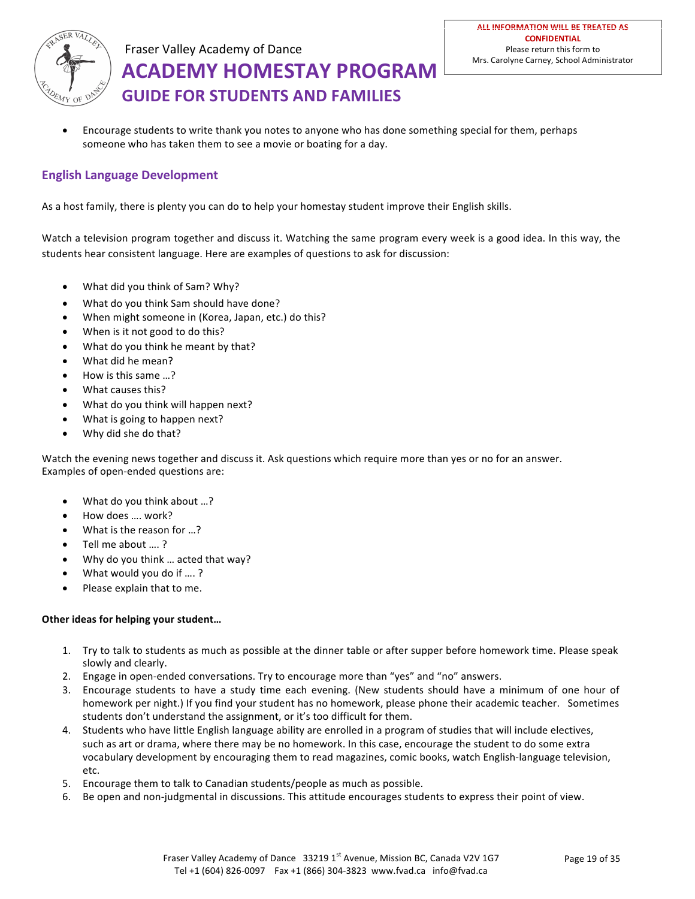

Encourage students to write thank you notes to anyone who has done something special for them, perhaps someone who has taken them to see a movie or boating for a day.

### **English Language Development**

As a host family, there is plenty you can do to help your homestay student improve their English skills.

Watch a television program together and discuss it. Watching the same program every week is a good idea. In this way, the students hear consistent language. Here are examples of questions to ask for discussion:

- What did you think of Sam? Why?
- What do you think Sam should have done?
- When might someone in (Korea, Japan, etc.) do this?
- When is it not good to do this?
- What do you think he meant by that?
- What did he mean?
- How is this same ...?
- What causes this?
- What do you think will happen next?
- What is going to happen next?
- Why did she do that?

Watch the evening news together and discuss it. Ask questions which require more than yes or no for an answer. Examples of open-ended questions are:

- What do you think about ...?
- How does .... work?
- What is the reason for ...?
- Tell me about ....?
- Why do you think ... acted that way?
- What would you do if ....?
- Please explain that to me.

#### **Other ideas for helping your student...**

- 1. Try to talk to students as much as possible at the dinner table or after supper before homework time. Please speak slowly and clearly.
- 2. Engage in open-ended conversations. Try to encourage more than "yes" and "no" answers.
- 3. Encourage students to have a study time each evening. (New students should have a minimum of one hour of homework per night.) If you find your student has no homework, please phone their academic teacher. Sometimes students don't understand the assignment, or it's too difficult for them.
- 4. Students who have little English language ability are enrolled in a program of studies that will include electives, such as art or drama, where there may be no homework. In this case, encourage the student to do some extra vocabulary development by encouraging them to read magazines, comic books, watch English-language television, etc.
- 5. Encourage them to talk to Canadian students/people as much as possible.
- 6. Be open and non-judgmental in discussions. This attitude encourages students to express their point of view.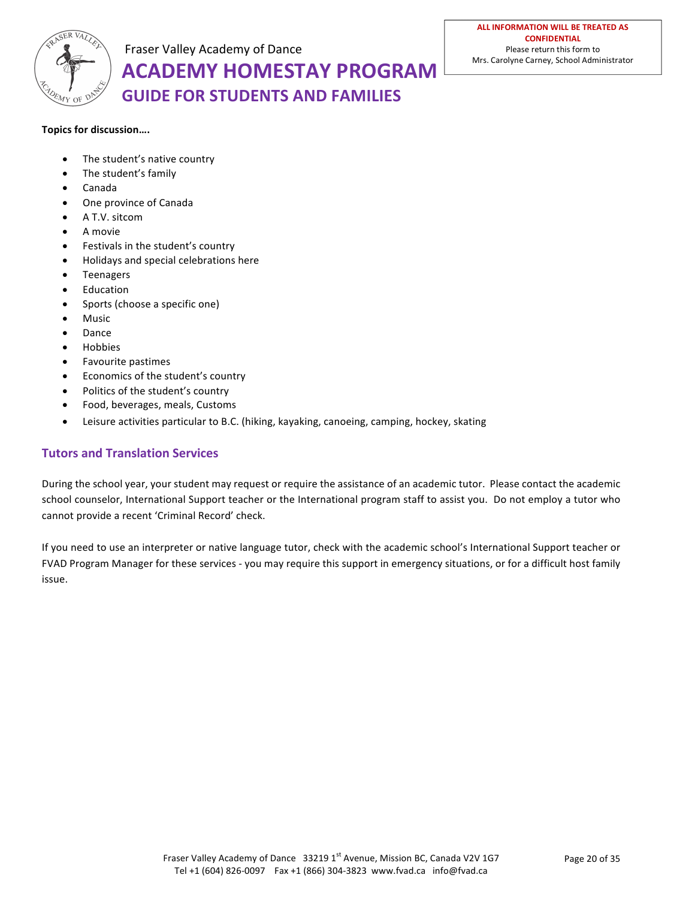

# Fraser Valley Academy of Dance **ACADEMY HOMESTAY PROGRAM**

**ALL INFORMATION WILL BE TREATED AS CONFIDENTIAL** Please return this form to Mrs. Carolyne Carney, School Administrator

# **GUIDE FOR STUDENTS AND FAMILIES**

#### **Topics for discussion….**

- The student's native country
- The student's family
- Canada
- One province of Canada
- A T.V. sitcom
- A movie
- Festivals in the student's country
- Holidays and special celebrations here
- **Teenagers**
- **Education**
- Sports (choose a specific one)
- **Music**
- Dance
- Hobbies
- Favourite pastimes
- Economics of the student's country
- Politics of the student's country
- Food, beverages, meals, Customs
- Leisure activities particular to B.C. (hiking, kayaking, canoeing, camping, hockey, skating

### **Tutors and Translation Services**

During the school year, your student may request or require the assistance of an academic tutor. Please contact the academic school counselor, International Support teacher or the International program staff to assist you. Do not employ a tutor who cannot provide a recent 'Criminal Record' check.

If you need to use an interpreter or native language tutor, check with the academic school's International Support teacher or FVAD Program Manager for these services - you may require this support in emergency situations, or for a difficult host family issue.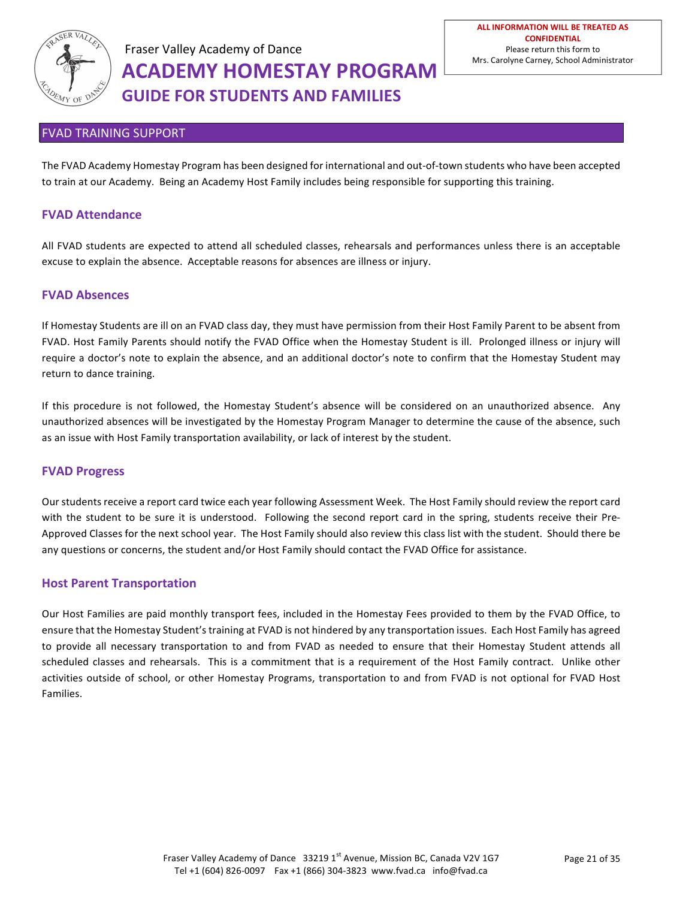

### **FVAD TRAINING SUPPORT**

The FVAD Academy Homestay Program has been designed for international and out-of-town students who have been accepted to train at our Academy. Being an Academy Host Family includes being responsible for supporting this training.

### **FVAD Attendance**

All FVAD students are expected to attend all scheduled classes, rehearsals and performances unless there is an acceptable excuse to explain the absence. Acceptable reasons for absences are illness or injury.

#### **FVAD Absences**

If Homestay Students are ill on an FVAD class day, they must have permission from their Host Family Parent to be absent from FVAD. Host Family Parents should notify the FVAD Office when the Homestay Student is ill. Prolonged illness or injury will require a doctor's note to explain the absence, and an additional doctor's note to confirm that the Homestay Student may return to dance training.

If this procedure is not followed, the Homestay Student's absence will be considered on an unauthorized absence. Any unauthorized absences will be investigated by the Homestay Program Manager to determine the cause of the absence, such as an issue with Host Family transportation availability, or lack of interest by the student.

#### **FVAD Progress**

Our students receive a report card twice each year following Assessment Week. The Host Family should review the report card with the student to be sure it is understood. Following the second report card in the spring, students receive their Pre-Approved Classes for the next school year. The Host Family should also review this class list with the student. Should there be any questions or concerns, the student and/or Host Family should contact the FVAD Office for assistance.

#### **Host Parent Transportation**

Our Host Families are paid monthly transport fees, included in the Homestay Fees provided to them by the FVAD Office, to ensure that the Homestay Student's training at FVAD is not hindered by any transportation issues. Each Host Family has agreed to provide all necessary transportation to and from FVAD as needed to ensure that their Homestay Student attends all scheduled classes and rehearsals. This is a commitment that is a requirement of the Host Family contract. Unlike other activities outside of school, or other Homestay Programs, transportation to and from FVAD is not optional for FVAD Host Families.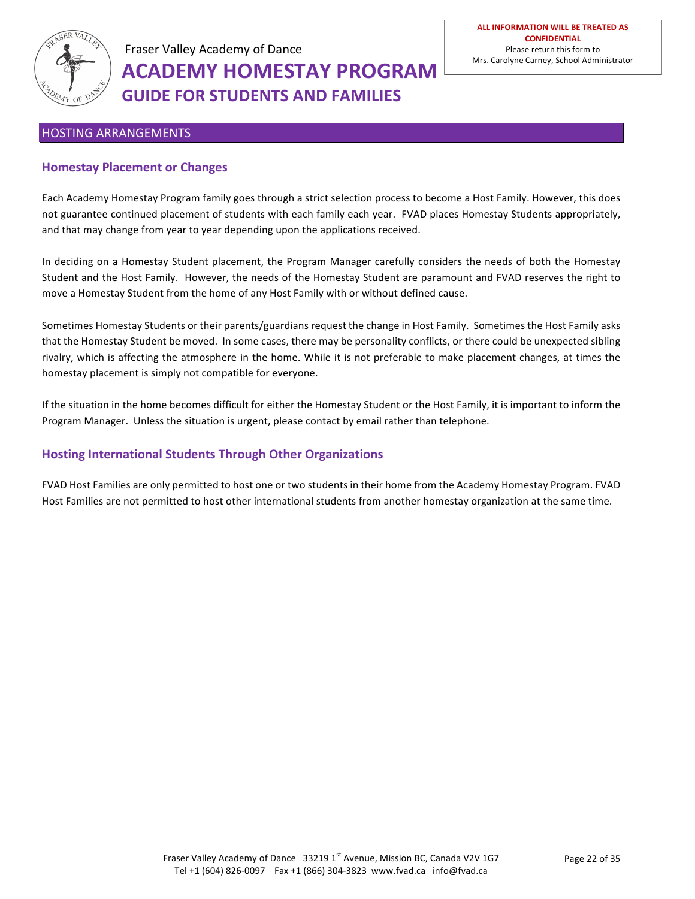

#### **HOSTING ARRANGEMENTS**

### **Homestay Placement or Changes**

Each Academy Homestay Program family goes through a strict selection process to become a Host Family. However, this does not guarantee continued placement of students with each family each year. FVAD places Homestay Students appropriately, and that may change from year to year depending upon the applications received.

In deciding on a Homestay Student placement, the Program Manager carefully considers the needs of both the Homestay Student and the Host Family. However, the needs of the Homestay Student are paramount and FVAD reserves the right to move a Homestay Student from the home of any Host Family with or without defined cause.

Sometimes Homestay Students or their parents/guardians request the change in Host Family. Sometimes the Host Family asks that the Homestay Student be moved. In some cases, there may be personality conflicts, or there could be unexpected sibling rivalry, which is affecting the atmosphere in the home. While it is not preferable to make placement changes, at times the homestay placement is simply not compatible for everyone.

If the situation in the home becomes difficult for either the Homestay Student or the Host Family, it is important to inform the Program Manager. Unless the situation is urgent, please contact by email rather than telephone.

### **Hosting International Students Through Other Organizations**

FVAD Host Families are only permitted to host one or two students in their home from the Academy Homestay Program. FVAD Host Families are not permitted to host other international students from another homestay organization at the same time.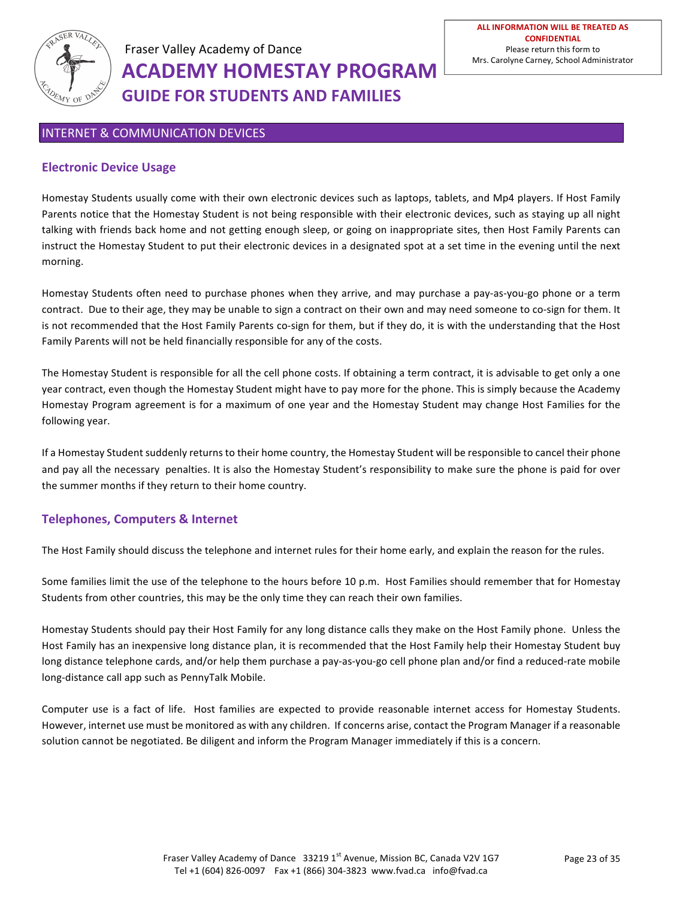

### **INTERNET & COMMUNICATION DEVICES**

### **Electronic Device Usage**

Homestay Students usually come with their own electronic devices such as laptops, tablets, and Mp4 players. If Host Family Parents notice that the Homestay Student is not being responsible with their electronic devices, such as staying up all night talking with friends back home and not getting enough sleep, or going on inappropriate sites, then Host Family Parents can instruct the Homestay Student to put their electronic devices in a designated spot at a set time in the evening until the next morning. 

Homestay Students often need to purchase phones when they arrive, and may purchase a pay-as-you-go phone or a term contract. Due to their age, they may be unable to sign a contract on their own and may need someone to co-sign for them. It is not recommended that the Host Family Parents co-sign for them, but if they do, it is with the understanding that the Host Family Parents will not be held financially responsible for any of the costs.

The Homestay Student is responsible for all the cell phone costs. If obtaining a term contract, it is advisable to get only a one year contract, even though the Homestay Student might have to pay more for the phone. This is simply because the Academy Homestay Program agreement is for a maximum of one year and the Homestay Student may change Host Families for the following year.

If a Homestay Student suddenly returns to their home country, the Homestay Student will be responsible to cancel their phone and pay all the necessary penalties. It is also the Homestay Student's responsibility to make sure the phone is paid for over the summer months if they return to their home country.

#### **Telephones, Computers & Internet**

The Host Family should discuss the telephone and internet rules for their home early, and explain the reason for the rules.

Some families limit the use of the telephone to the hours before 10 p.m. Host Families should remember that for Homestay Students from other countries, this may be the only time they can reach their own families.

Homestay Students should pay their Host Family for any long distance calls they make on the Host Family phone. Unless the Host Family has an inexpensive long distance plan, it is recommended that the Host Family help their Homestay Student buy long distance telephone cards, and/or help them purchase a pay-as-you-go cell phone plan and/or find a reduced-rate mobile long-distance call app such as PennyTalk Mobile.

Computer use is a fact of life. Host families are expected to provide reasonable internet access for Homestay Students. However, internet use must be monitored as with any children. If concerns arise, contact the Program Manager if a reasonable solution cannot be negotiated. Be diligent and inform the Program Manager immediately if this is a concern.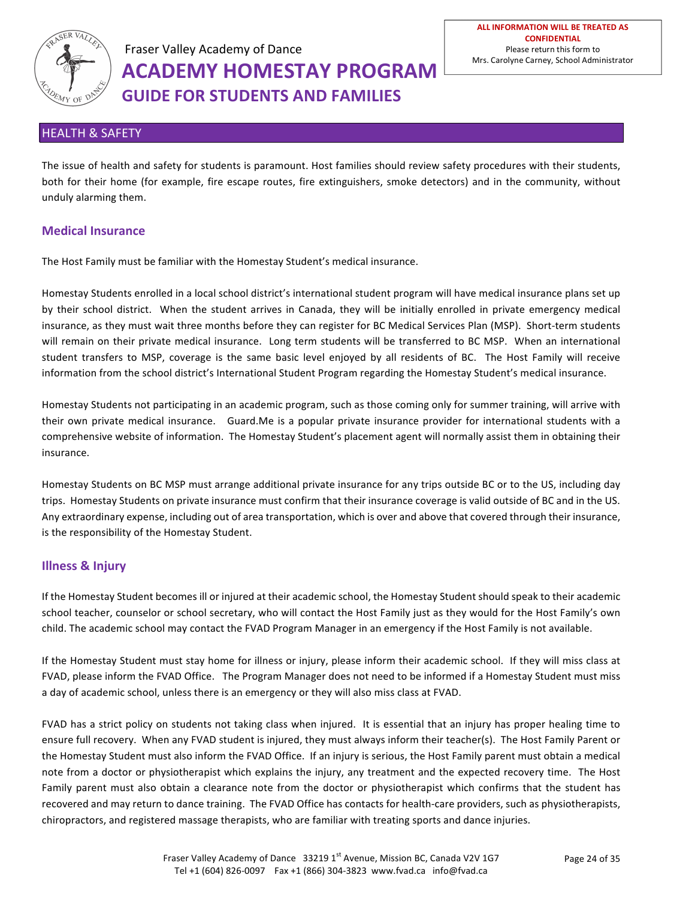

### **HEALTH & SAFETY**

The issue of health and safety for students is paramount. Host families should review safety procedures with their students, both for their home (for example, fire escape routes, fire extinguishers, smoke detectors) and in the community, without unduly alarming them.

### **Medical Insurance**

The Host Family must be familiar with the Homestay Student's medical insurance.

Homestay Students enrolled in a local school district's international student program will have medical insurance plans set up by their school district. When the student arrives in Canada, they will be initially enrolled in private emergency medical insurance, as they must wait three months before they can register for BC Medical Services Plan (MSP). Short-term students will remain on their private medical insurance. Long term students will be transferred to BC MSP. When an international student transfers to MSP, coverage is the same basic level enjoyed by all residents of BC. The Host Family will receive information from the school district's International Student Program regarding the Homestay Student's medical insurance.

Homestay Students not participating in an academic program, such as those coming only for summer training, will arrive with their own private medical insurance. Guard.Me is a popular private insurance provider for international students with a comprehensive website of information. The Homestay Student's placement agent will normally assist them in obtaining their insurance.

Homestay Students on BC MSP must arrange additional private insurance for any trips outside BC or to the US, including day trips. Homestay Students on private insurance must confirm that their insurance coverage is valid outside of BC and in the US. Any extraordinary expense, including out of area transportation, which is over and above that covered through their insurance, is the responsibility of the Homestay Student.

### **Illness & Injury**

If the Homestay Student becomes ill or injured at their academic school, the Homestay Student should speak to their academic school teacher, counselor or school secretary, who will contact the Host Family just as they would for the Host Family's own child. The academic school may contact the FVAD Program Manager in an emergency if the Host Family is not available.

If the Homestay Student must stay home for illness or injury, please inform their academic school. If they will miss class at FVAD, please inform the FVAD Office. The Program Manager does not need to be informed if a Homestay Student must miss a day of academic school, unless there is an emergency or they will also miss class at FVAD.

FVAD has a strict policy on students not taking class when injured. It is essential that an injury has proper healing time to ensure full recovery. When any FVAD student is injured, they must always inform their teacher(s). The Host Family Parent or the Homestay Student must also inform the FVAD Office. If an injury is serious, the Host Family parent must obtain a medical note from a doctor or physiotherapist which explains the injury, any treatment and the expected recovery time. The Host Family parent must also obtain a clearance note from the doctor or physiotherapist which confirms that the student has recovered and may return to dance training. The FVAD Office has contacts for health-care providers, such as physiotherapists, chiropractors, and registered massage therapists, who are familiar with treating sports and dance injuries.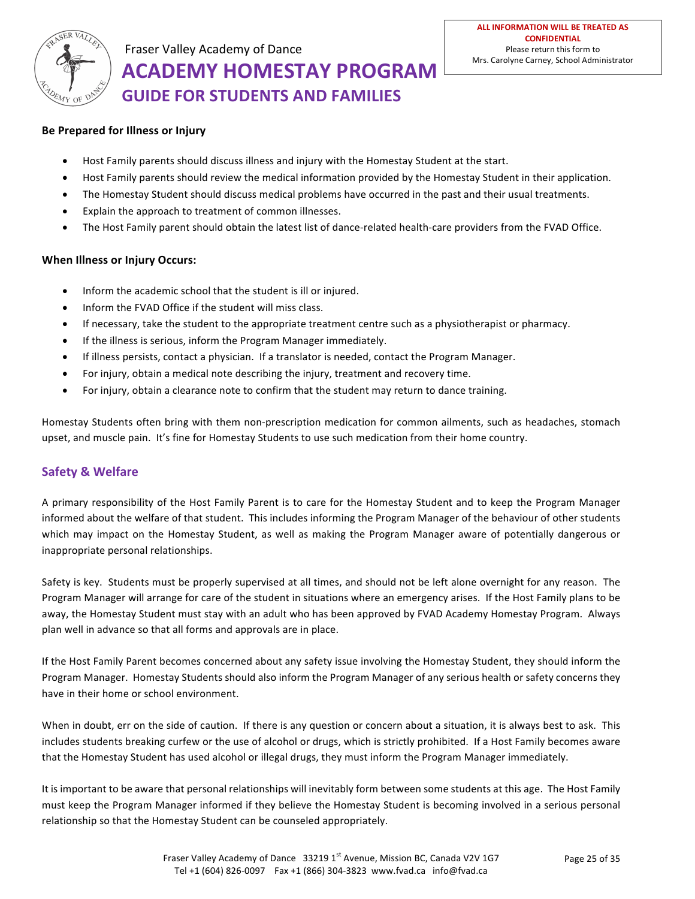

#### **Be Prepared for Illness or Injury**

- Host Family parents should discuss illness and injury with the Homestay Student at the start.
- Host Family parents should review the medical information provided by the Homestay Student in their application.
- The Homestay Student should discuss medical problems have occurred in the past and their usual treatments.
- Explain the approach to treatment of common illnesses.
- The Host Family parent should obtain the latest list of dance-related health-care providers from the FVAD Office.

#### **When Illness or Injury Occurs:**

- Inform the academic school that the student is ill or injured.
- Inform the FVAD Office if the student will miss class.
- If necessary, take the student to the appropriate treatment centre such as a physiotherapist or pharmacy.
- If the illness is serious, inform the Program Manager immediately.
- If illness persists, contact a physician. If a translator is needed, contact the Program Manager.
- For injury, obtain a medical note describing the injury, treatment and recovery time.
- For injury, obtain a clearance note to confirm that the student may return to dance training.

Homestay Students often bring with them non-prescription medication for common ailments, such as headaches, stomach upset, and muscle pain. It's fine for Homestay Students to use such medication from their home country.

#### **Safety & Welfare**

A primary responsibility of the Host Family Parent is to care for the Homestay Student and to keep the Program Manager informed about the welfare of that student. This includes informing the Program Manager of the behaviour of other students which may impact on the Homestay Student, as well as making the Program Manager aware of potentially dangerous or inappropriate personal relationships.

Safety is key. Students must be properly supervised at all times, and should not be left alone overnight for any reason. The Program Manager will arrange for care of the student in situations where an emergency arises. If the Host Family plans to be away, the Homestay Student must stay with an adult who has been approved by FVAD Academy Homestay Program. Always plan well in advance so that all forms and approvals are in place.

If the Host Family Parent becomes concerned about any safety issue involving the Homestay Student, they should inform the Program Manager. Homestay Students should also inform the Program Manager of any serious health or safety concerns they have in their home or school environment.

When in doubt, err on the side of caution. If there is any question or concern about a situation, it is always best to ask. This includes students breaking curfew or the use of alcohol or drugs, which is strictly prohibited. If a Host Family becomes aware that the Homestay Student has used alcohol or illegal drugs, they must inform the Program Manager immediately.

It is important to be aware that personal relationships will inevitably form between some students at this age. The Host Family must keep the Program Manager informed if they believe the Homestay Student is becoming involved in a serious personal relationship so that the Homestay Student can be counseled appropriately.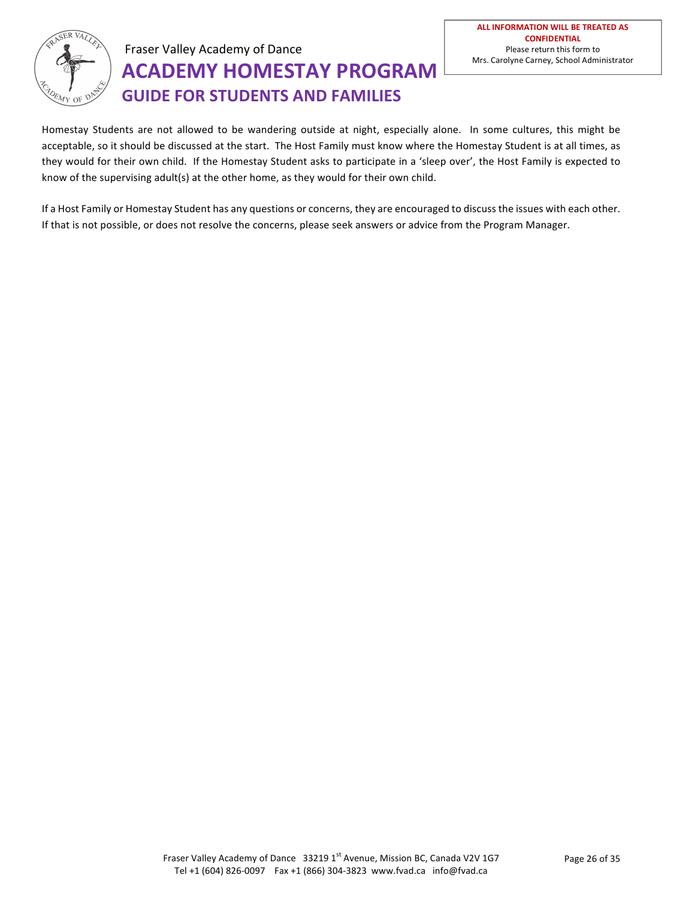

Homestay Students are not allowed to be wandering outside at night, especially alone. In some cultures, this might be acceptable, so it should be discussed at the start. The Host Family must know where the Homestay Student is at all times, as they would for their own child. If the Homestay Student asks to participate in a 'sleep over', the Host Family is expected to know of the supervising adult(s) at the other home, as they would for their own child.

If a Host Family or Homestay Student has any questions or concerns, they are encouraged to discuss the issues with each other. If that is not possible, or does not resolve the concerns, please seek answers or advice from the Program Manager.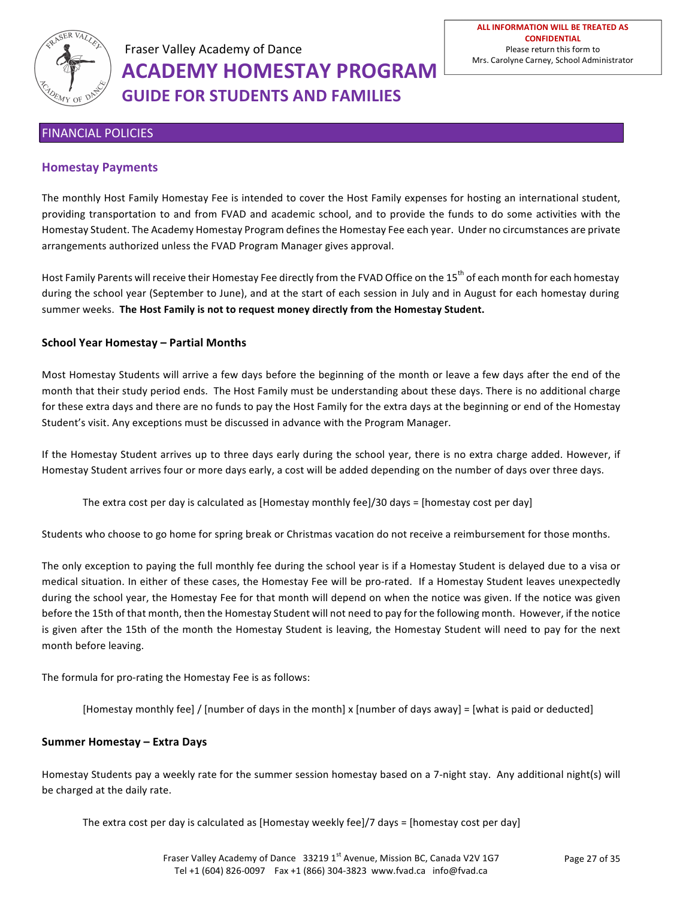

### **FINANCIAL POLICIES**

#### **Homestay Payments**

The monthly Host Family Homestay Fee is intended to cover the Host Family expenses for hosting an international student, providing transportation to and from FVAD and academic school, and to provide the funds to do some activities with the Homestay Student. The Academy Homestay Program defines the Homestay Fee each year. Under no circumstances are private arrangements authorized unless the FVAD Program Manager gives approval.

Host Family Parents will receive their Homestay Fee directly from the FVAD Office on the 15<sup>th</sup> of each month for each homestay during the school year (September to June), and at the start of each session in July and in August for each homestay during summer weeks. The Host Family is not to request money directly from the Homestay Student.

#### **School Year Homestay – Partial Months**

Most Homestay Students will arrive a few days before the beginning of the month or leave a few days after the end of the month that their study period ends. The Host Family must be understanding about these days. There is no additional charge for these extra days and there are no funds to pay the Host Family for the extra days at the beginning or end of the Homestay Student's visit. Any exceptions must be discussed in advance with the Program Manager.

If the Homestay Student arrives up to three days early during the school year, there is no extra charge added. However, if Homestay Student arrives four or more days early, a cost will be added depending on the number of days over three days.

The extra cost per day is calculated as [Homestay monthly fee]/30 days = [homestay cost per day]

Students who choose to go home for spring break or Christmas vacation do not receive a reimbursement for those months.

The only exception to paying the full monthly fee during the school year is if a Homestay Student is delayed due to a visa or medical situation. In either of these cases, the Homestay Fee will be pro-rated. If a Homestay Student leaves unexpectedly during the school year, the Homestay Fee for that month will depend on when the notice was given. If the notice was given before the 15th of that month, then the Homestay Student will not need to pay for the following month. However, if the notice is given after the 15th of the month the Homestay Student is leaving, the Homestay Student will need to pay for the next month before leaving.

The formula for pro-rating the Homestay Fee is as follows:

[Homestay monthly fee] / [number of days in the month] x [number of days away] = [what is paid or deducted]

#### **Summer Homestay – Extra Days**

Homestay Students pay a weekly rate for the summer session homestay based on a 7-night stay. Any additional night(s) will be charged at the daily rate.

The extra cost per day is calculated as [Homestay weekly fee]/7 days = [homestay cost per day]

Fraser Valley Academy of Dance 33219 1st Avenue, Mission BC, Canada V2V 1G7 Tel +1 (604) 826-0097 Fax +1 (866) 304-3823 www.fvad.ca info@fvad.ca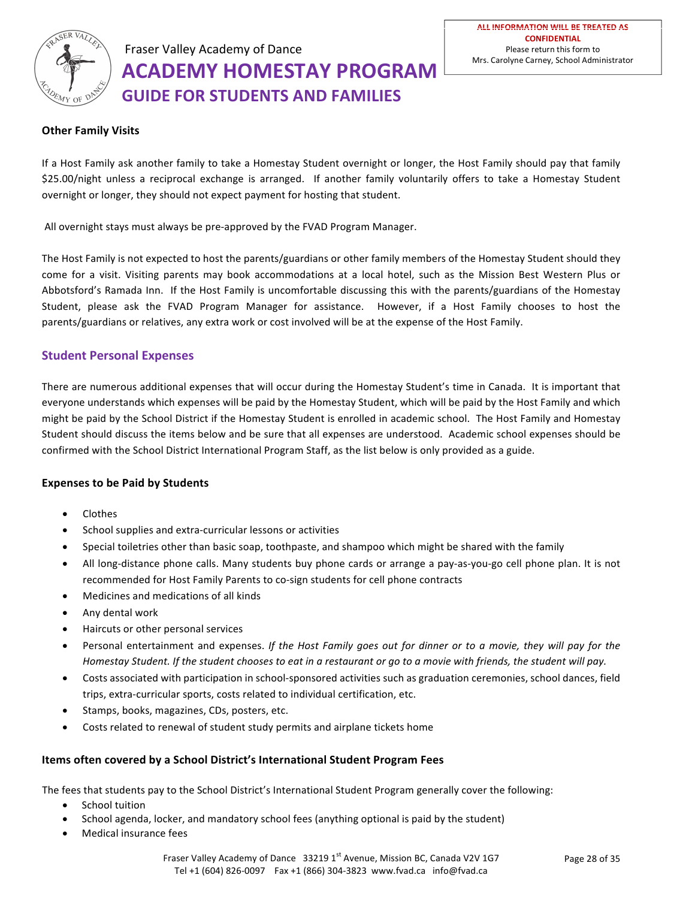

### **Other Family Visits**

If a Host Family ask another family to take a Homestay Student overnight or longer, the Host Family should pay that family \$25.00/night unless a reciprocal exchange is arranged. If another family voluntarily offers to take a Homestay Student overnight or longer, they should not expect payment for hosting that student.

All overnight stays must always be pre-approved by the FVAD Program Manager.

The Host Family is not expected to host the parents/guardians or other family members of the Homestay Student should they come for a visit. Visiting parents may book accommodations at a local hotel, such as the Mission Best Western Plus or Abbotsford's Ramada Inn. If the Host Family is uncomfortable discussing this with the parents/guardians of the Homestay Student, please ask the FVAD Program Manager for assistance. However, if a Host Family chooses to host the parents/guardians or relatives, any extra work or cost involved will be at the expense of the Host Family.

### **Student Personal Expenses**

There are numerous additional expenses that will occur during the Homestay Student's time in Canada. It is important that everyone understands which expenses will be paid by the Homestay Student, which will be paid by the Host Family and which might be paid by the School District if the Homestay Student is enrolled in academic school. The Host Family and Homestay Student should discuss the items below and be sure that all expenses are understood. Academic school expenses should be confirmed with the School District International Program Staff, as the list below is only provided as a guide.

#### **Expenses to be Paid by Students**

- Clothes
- School supplies and extra-curricular lessons or activities
- Special toiletries other than basic soap, toothpaste, and shampoo which might be shared with the family
- All long-distance phone calls. Many students buy phone cards or arrange a pay-as-you-go cell phone plan. It is not recommended for Host Family Parents to co-sign students for cell phone contracts
- Medicines and medications of all kinds
- Any dental work
- Haircuts or other personal services
- Personal entertainment and expenses. If the Host Family goes out for dinner or to a movie, they will pay for the *Homestay Student. If the student chooses to eat in a restaurant or go to a movie with friends, the student will pay.*
- Costs associated with participation in school-sponsored activities such as graduation ceremonies, school dances, field trips, extra-curricular sports, costs related to individual certification, etc.
- Stamps, books, magazines, CDs, posters, etc.
- Costs related to renewal of student study permits and airplane tickets home

#### **Items often covered by a School District's International Student Program Fees**

The fees that students pay to the School District's International Student Program generally cover the following:

- School tuition
- School agenda, locker, and mandatory school fees (anything optional is paid by the student)
- Medical insurance fees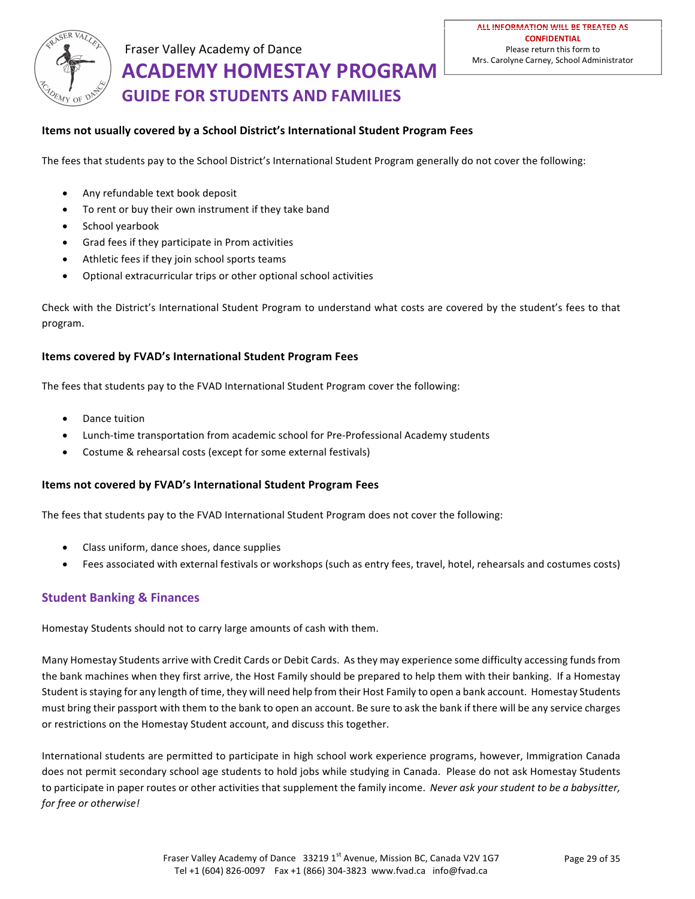

#### **Items not usually covered by a School District's International Student Program Fees**

The fees that students pay to the School District's International Student Program generally do not cover the following:

- Any refundable text book deposit
- To rent or buy their own instrument if they take band
- School yearbook
- Grad fees if they participate in Prom activities
- Athletic fees if they join school sports teams
- Optional extracurricular trips or other optional school activities

Check with the District's International Student Program to understand what costs are covered by the student's fees to that program.

#### **Items covered by FVAD's International Student Program Fees**

The fees that students pay to the FVAD International Student Program cover the following:

- Dance tuition
- Lunch-time transportation from academic school for Pre-Professional Academy students
- Costume & rehearsal costs (except for some external festivals)

#### **Items not covered by FVAD's International Student Program Fees**

The fees that students pay to the FVAD International Student Program does not cover the following:

- Class uniform, dance shoes, dance supplies
- Fees associated with external festivals or workshops (such as entry fees, travel, hotel, rehearsals and costumes costs)

#### **Student Banking & Finances**

Homestay Students should not to carry large amounts of cash with them.

Many Homestay Students arrive with Credit Cards or Debit Cards. As they may experience some difficulty accessing funds from the bank machines when they first arrive, the Host Family should be prepared to help them with their banking. If a Homestay Student is staying for any length of time, they will need help from their Host Family to open a bank account. Homestay Students must bring their passport with them to the bank to open an account. Be sure to ask the bank if there will be any service charges or restrictions on the Homestay Student account, and discuss this together.

International students are permitted to participate in high school work experience programs, however, Immigration Canada does not permit secondary school age students to hold jobs while studying in Canada. Please do not ask Homestay Students to participate in paper routes or other activities that supplement the family income. Never ask your student to be a babysitter, *for free or otherwise!*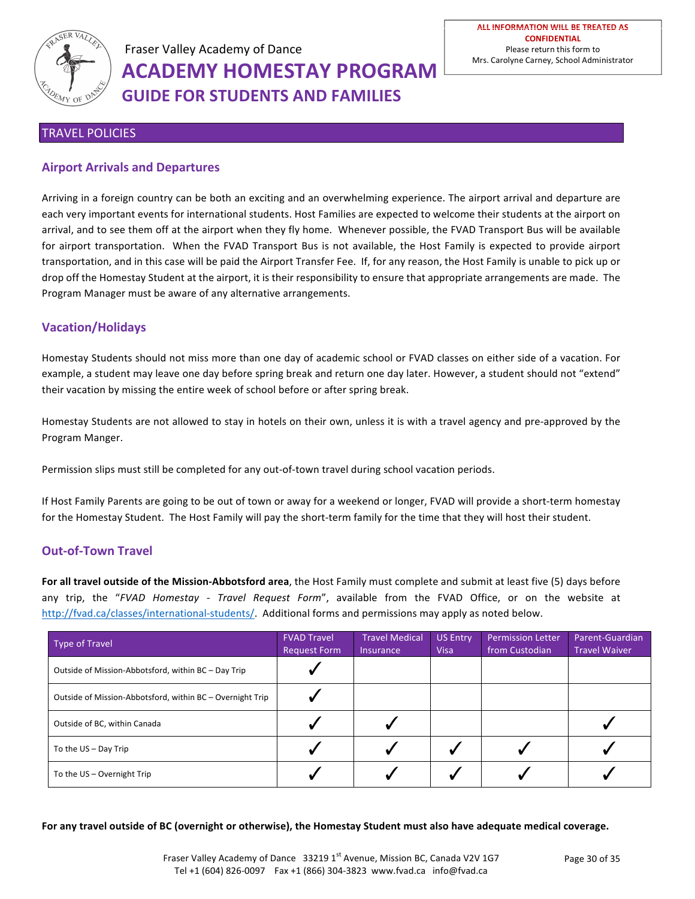

#### **TRAVEL POLICIES**

### **Airport Arrivals and Departures**

Arriving in a foreign country can be both an exciting and an overwhelming experience. The airport arrival and departure are each very important events for international students. Host Families are expected to welcome their students at the airport on arrival, and to see them off at the airport when they fly home. Whenever possible, the FVAD Transport Bus will be available for airport transportation. When the FVAD Transport Bus is not available, the Host Family is expected to provide airport transportation, and in this case will be paid the Airport Transfer Fee. If, for any reason, the Host Family is unable to pick up or drop off the Homestay Student at the airport, it is their responsibility to ensure that appropriate arrangements are made. The Program Manager must be aware of any alternative arrangements.

### **Vacation/Holidays**

Homestay Students should not miss more than one day of academic school or FVAD classes on either side of a vacation. For example, a student may leave one day before spring break and return one day later. However, a student should not "extend" their vacation by missing the entire week of school before or after spring break.

Homestay Students are not allowed to stay in hotels on their own, unless it is with a travel agency and pre-approved by the Program Manger.

Permission slips must still be completed for any out-of-town travel during school vacation periods.

If Host Family Parents are going to be out of town or away for a weekend or longer, FVAD will provide a short-term homestay for the Homestay Student. The Host Family will pay the short-term family for the time that they will host their student.

### **Out-of-Town Travel**

For all travel outside of the Mission-Abbotsford area, the Host Family must complete and submit at least five (5) days before any trip, the "FVAD Homestay - Travel Request Form", available from the FVAD Office, or on the website at http://fvad.ca/classes/international-students/. Additional forms and permissions may apply as noted below.

| <b>Type of Travel</b>                                     | <b>FVAD Travel</b><br><b>Request Form</b> | <b>Travel Medical</b><br>Insurance | <b>US Entry</b><br><b>Visa</b> | <b>Permission Letter</b><br>from Custodian | Parent-Guardian<br><b>Travel Waiver</b> |
|-----------------------------------------------------------|-------------------------------------------|------------------------------------|--------------------------------|--------------------------------------------|-----------------------------------------|
| Outside of Mission-Abbotsford, within BC - Day Trip       |                                           |                                    |                                |                                            |                                         |
| Outside of Mission-Abbotsford, within BC – Overnight Trip |                                           |                                    |                                |                                            |                                         |
| Outside of BC, within Canada                              |                                           |                                    |                                |                                            |                                         |
| To the US - Day Trip                                      |                                           |                                    |                                |                                            |                                         |
| To the US - Overnight Trip                                |                                           |                                    |                                |                                            |                                         |

For any travel outside of BC (overnight or otherwise), the Homestay Student must also have adequate medical coverage.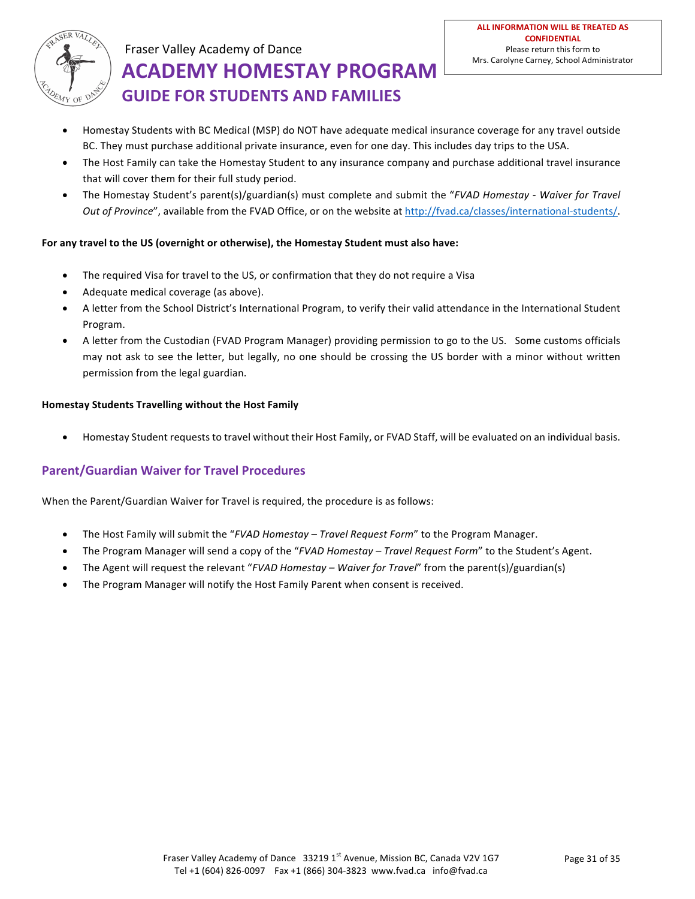

- Homestay Students with BC Medical (MSP) do NOT have adequate medical insurance coverage for any travel outside BC. They must purchase additional private insurance, even for one day. This includes day trips to the USA.
- The Host Family can take the Homestay Student to any insurance company and purchase additional travel insurance that will cover them for their full study period.
- The Homestay Student's parent(s)/guardian(s) must complete and submit the "*FVAD Homestay Waiver for Travel Out of Province"*, available from the FVAD Office, or on the website at http://fvad.ca/classes/international-students/.

#### For any travel to the US (overnight or otherwise), the Homestay Student must also have:

- The required Visa for travel to the US, or confirmation that they do not require a Visa
- Adequate medical coverage (as above).
- A letter from the School District's International Program, to verify their valid attendance in the International Student Program.
- A letter from the Custodian (FVAD Program Manager) providing permission to go to the US. Some customs officials may not ask to see the letter, but legally, no one should be crossing the US border with a minor without written permission from the legal guardian.

#### **Homestay Students Travelling without the Host Family**

Homestay Student requests to travel without their Host Family, or FVAD Staff, will be evaluated on an individual basis.

### **Parent/Guardian Waiver for Travel Procedures**

When the Parent/Guardian Waiver for Travel is required, the procedure is as follows:

- The Host Family will submit the "*FVAD Homestay Travel Request Form*" to the Program Manager.
- The Program Manager will send a copy of the "*FVAD Homestay Travel Request Form*" to the Student's Agent.
- The Agent will request the relevant "*FVAD Homestay Waiver for Travel*" from the parent(s)/guardian(s)
- The Program Manager will notify the Host Family Parent when consent is received.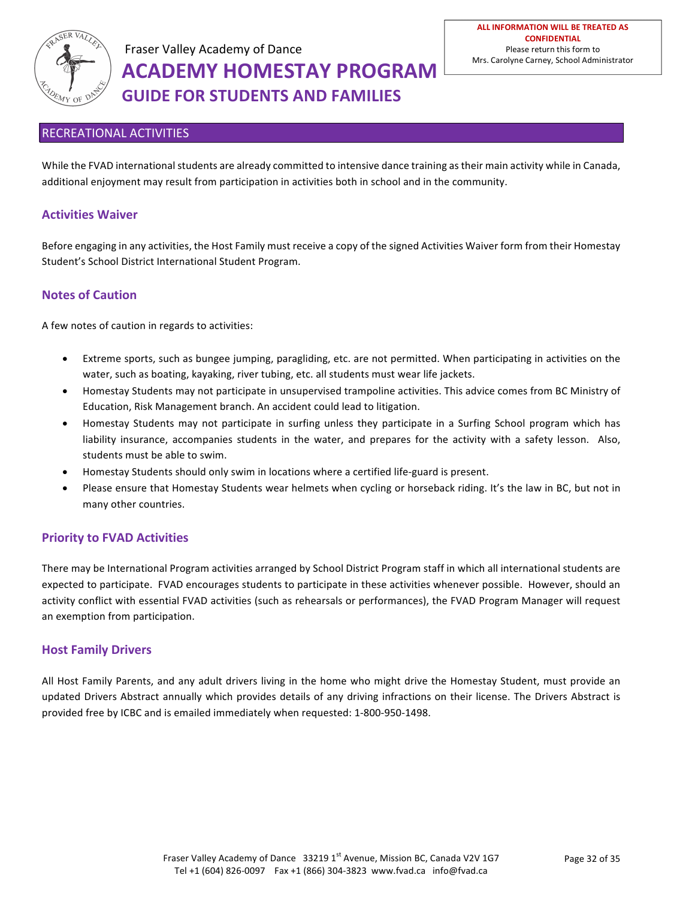

### **RECREATIONAL ACTIVITIES**

While the FVAD international students are already committed to intensive dance training as their main activity while in Canada, additional enjoyment may result from participation in activities both in school and in the community.

### **Activities Waiver**

Before engaging in any activities, the Host Family must receive a copy of the signed Activities Waiver form from their Homestay Student's School District International Student Program.

### **Notes of Caution**

A few notes of caution in regards to activities:

- Extreme sports, such as bungee jumping, paragliding, etc. are not permitted. When participating in activities on the water, such as boating, kayaking, river tubing, etc. all students must wear life jackets.
- Homestay Students may not participate in unsupervised trampoline activities. This advice comes from BC Ministry of Education, Risk Management branch. An accident could lead to litigation.
- Homestay Students may not participate in surfing unless they participate in a Surfing School program which has liability insurance, accompanies students in the water, and prepares for the activity with a safety lesson. Also, students must be able to swim.
- Homestay Students should only swim in locations where a certified life-guard is present.
- Please ensure that Homestay Students wear helmets when cycling or horseback riding. It's the law in BC, but not in many other countries.

#### **Priority to FVAD Activities**

There may be International Program activities arranged by School District Program staff in which all international students are expected to participate. FVAD encourages students to participate in these activities whenever possible. However, should an activity conflict with essential FVAD activities (such as rehearsals or performances), the FVAD Program Manager will request an exemption from participation.

#### **Host Family Drivers**

All Host Family Parents, and any adult drivers living in the home who might drive the Homestay Student, must provide an updated Drivers Abstract annually which provides details of any driving infractions on their license. The Drivers Abstract is provided free by ICBC and is emailed immediately when requested: 1-800-950-1498.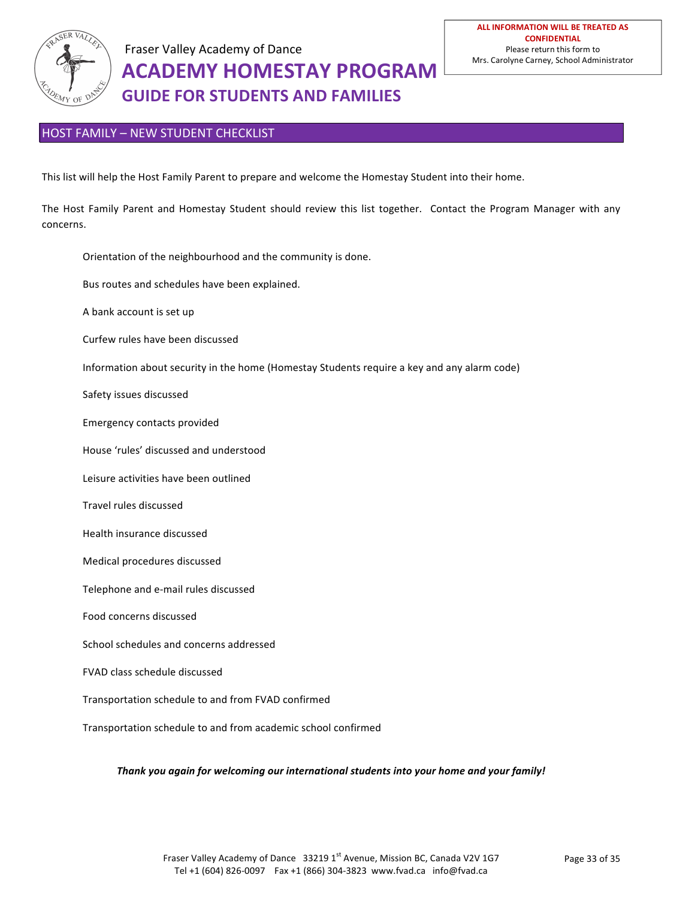

#### HOST FAMILY - NEW STUDENT CHECKLIST

This list will help the Host Family Parent to prepare and welcome the Homestay Student into their home.

The Host Family Parent and Homestay Student should review this list together. Contact the Program Manager with any concerns.

| Orientation of the neighbourhood and the community is done.                                 |
|---------------------------------------------------------------------------------------------|
| Bus routes and schedules have been explained.                                               |
| A bank account is set up                                                                    |
| Curfew rules have been discussed                                                            |
| Information about security in the home (Homestay Students require a key and any alarm code) |
| Safety issues discussed                                                                     |
| <b>Emergency contacts provided</b>                                                          |
| House 'rules' discussed and understood                                                      |
| Leisure activities have been outlined                                                       |
| Travel rules discussed                                                                      |
| Health insurance discussed                                                                  |
| Medical procedures discussed                                                                |
| Telephone and e-mail rules discussed                                                        |
| Food concerns discussed                                                                     |
| School schedules and concerns addressed                                                     |
| FVAD class schedule discussed                                                               |
| Transportation schedule to and from FVAD confirmed                                          |
| Transportation schedule to and from academic school confirmed                               |
|                                                                                             |

#### *Thank you again for welcoming our international students into your home and your family!*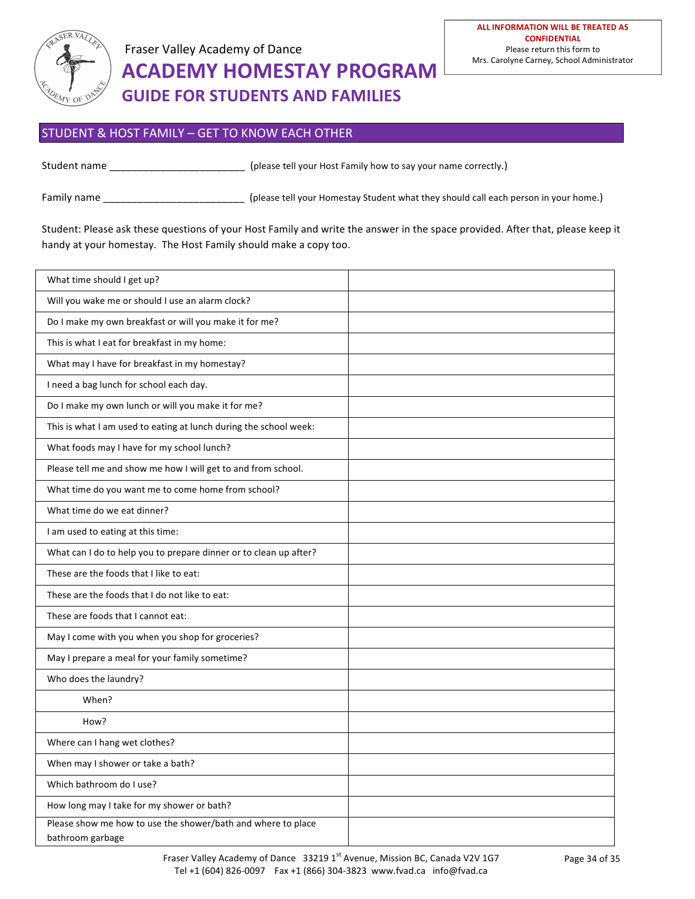

### STUDENT & HOST FAMILY - GET TO KNOW EACH OTHER

Student name \_\_\_\_\_\_\_\_\_\_\_\_\_\_\_\_\_\_\_\_\_\_\_\_\_\_\_\_\_\_\_\_\_\_\_ (please tell your Host Family how to say your name correctly.)

Family name \_\_\_\_\_\_\_\_\_\_\_\_\_\_\_\_\_\_\_\_\_\_\_\_\_\_\_\_\_\_\_\_ (please tell your Homestay Student what they should call each person in your home.)

Student: Please ask these questions of your Host Family and write the answer in the space provided. After that, please keep it handy at your homestay. The Host Family should make a copy too.

| What time should I get up?                                        |  |
|-------------------------------------------------------------------|--|
| Will you wake me or should I use an alarm clock?                  |  |
| Do I make my own breakfast or will you make it for me?            |  |
| This is what I eat for breakfast in my home:                      |  |
| What may I have for breakfast in my homestay?                     |  |
| I need a bag lunch for school each day.                           |  |
| Do I make my own lunch or will you make it for me?                |  |
| This is what I am used to eating at lunch during the school week: |  |
| What foods may I have for my school lunch?                        |  |
| Please tell me and show me how I will get to and from school.     |  |
| What time do you want me to come home from school?                |  |
| What time do we eat dinner?                                       |  |
| I am used to eating at this time:                                 |  |
| What can I do to help you to prepare dinner or to clean up after? |  |
| These are the foods that I like to eat:                           |  |
| These are the foods that I do not like to eat:                    |  |
| These are foods that I cannot eat:                                |  |
| May I come with you when you shop for groceries?                  |  |
| May I prepare a meal for your family sometime?                    |  |
| Who does the laundry?                                             |  |
| When?                                                             |  |
| How?                                                              |  |
| Where can I hang wet clothes?                                     |  |
| When may I shower or take a bath?                                 |  |
| Which bathroom do I use?                                          |  |
| How long may I take for my shower or bath?                        |  |
| Please show me how to use the shower/bath and where to place      |  |
| bathroom garbage                                                  |  |